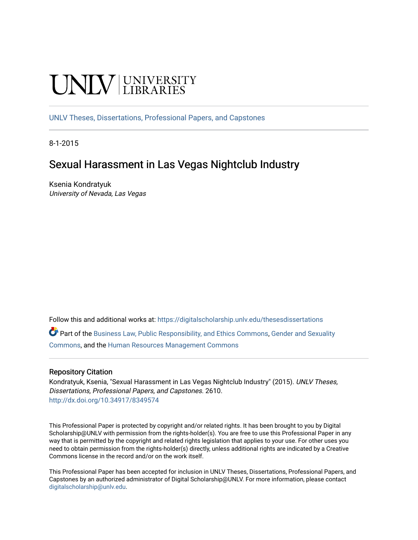# UNIV UNIVERSITY

[UNLV Theses, Dissertations, Professional Papers, and Capstones](https://digitalscholarship.unlv.edu/thesesdissertations)

8-1-2015

# Sexual Harassment in Las Vegas Nightclub Industry

Ksenia Kondratyuk University of Nevada, Las Vegas

Follow this and additional works at: [https://digitalscholarship.unlv.edu/thesesdissertations](https://digitalscholarship.unlv.edu/thesesdissertations?utm_source=digitalscholarship.unlv.edu%2Fthesesdissertations%2F2610&utm_medium=PDF&utm_campaign=PDFCoverPages)

Part of the [Business Law, Public Responsibility, and Ethics Commons](http://network.bepress.com/hgg/discipline/628?utm_source=digitalscholarship.unlv.edu%2Fthesesdissertations%2F2610&utm_medium=PDF&utm_campaign=PDFCoverPages), [Gender and Sexuality](http://network.bepress.com/hgg/discipline/420?utm_source=digitalscholarship.unlv.edu%2Fthesesdissertations%2F2610&utm_medium=PDF&utm_campaign=PDFCoverPages)  [Commons](http://network.bepress.com/hgg/discipline/420?utm_source=digitalscholarship.unlv.edu%2Fthesesdissertations%2F2610&utm_medium=PDF&utm_campaign=PDFCoverPages), and the [Human Resources Management Commons](http://network.bepress.com/hgg/discipline/633?utm_source=digitalscholarship.unlv.edu%2Fthesesdissertations%2F2610&utm_medium=PDF&utm_campaign=PDFCoverPages) 

#### Repository Citation

Kondratyuk, Ksenia, "Sexual Harassment in Las Vegas Nightclub Industry" (2015). UNLV Theses, Dissertations, Professional Papers, and Capstones. 2610. <http://dx.doi.org/10.34917/8349574>

This Professional Paper is protected by copyright and/or related rights. It has been brought to you by Digital Scholarship@UNLV with permission from the rights-holder(s). You are free to use this Professional Paper in any way that is permitted by the copyright and related rights legislation that applies to your use. For other uses you need to obtain permission from the rights-holder(s) directly, unless additional rights are indicated by a Creative Commons license in the record and/or on the work itself.

This Professional Paper has been accepted for inclusion in UNLV Theses, Dissertations, Professional Papers, and Capstones by an authorized administrator of Digital Scholarship@UNLV. For more information, please contact [digitalscholarship@unlv.edu](mailto:digitalscholarship@unlv.edu).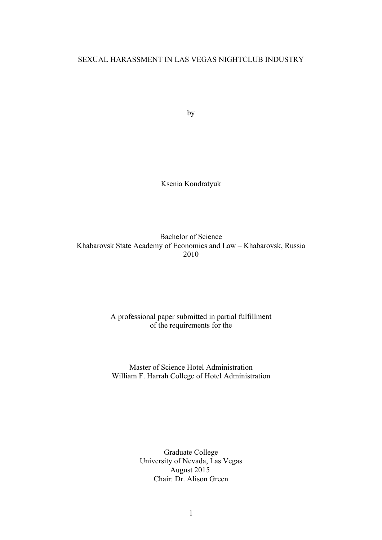## SEXUAL HARASSMENT IN LAS VEGAS NIGHTCLUB INDUSTRY

by

Ksenia Kondratyuk

Bachelor of Science Khabarovsk State Academy of Economics and Law – Khabarovsk, Russia 2010

## A professional paper submitted in partial fulfillment of the requirements for the

Master of Science Hotel Administration William F. Harrah College of Hotel Administration

> Graduate College University of Nevada, Las Vegas August 2015 Chair: Dr. Alison Green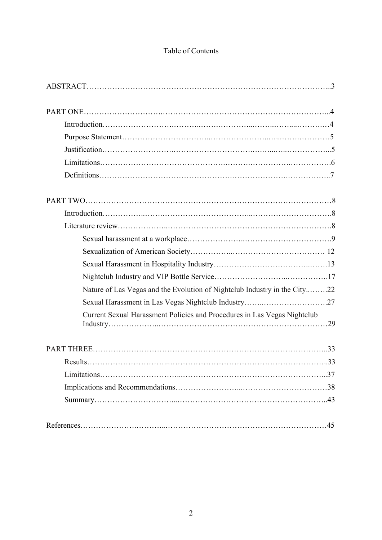## Table of Contents

| Nature of Las Vegas and the Evolution of Nightclub Industry in the City22 |  |
|---------------------------------------------------------------------------|--|
|                                                                           |  |
| Current Sexual Harassment Policies and Procedures in Las Vegas Nightclub  |  |
|                                                                           |  |
|                                                                           |  |
|                                                                           |  |
|                                                                           |  |
|                                                                           |  |
|                                                                           |  |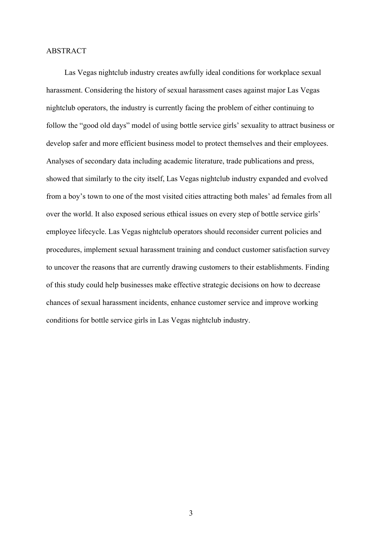#### ABSTRACT

Las Vegas nightclub industry creates awfully ideal conditions for workplace sexual harassment. Considering the history of sexual harassment cases against major Las Vegas nightclub operators, the industry is currently facing the problem of either continuing to follow the "good old days" model of using bottle service girls' sexuality to attract business or develop safer and more efficient business model to protect themselves and their employees. Analyses of secondary data including academic literature, trade publications and press, showed that similarly to the city itself, Las Vegas nightclub industry expanded and evolved from a boy's town to one of the most visited cities attracting both males' ad females from all over the world. It also exposed serious ethical issues on every step of bottle service girls' employee lifecycle. Las Vegas nightclub operators should reconsider current policies and procedures, implement sexual harassment training and conduct customer satisfaction survey to uncover the reasons that are currently drawing customers to their establishments. Finding of this study could help businesses make effective strategic decisions on how to decrease chances of sexual harassment incidents, enhance customer service and improve working conditions for bottle service girls in Las Vegas nightclub industry.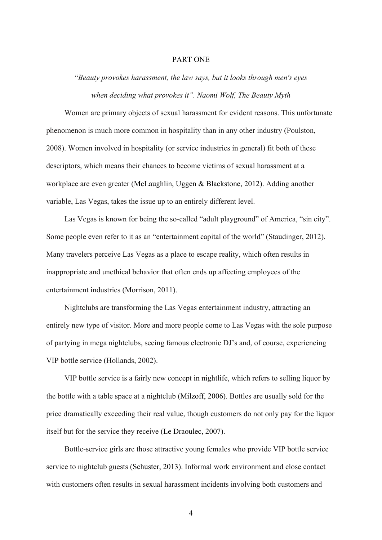## PART ONE

"*Beauty provokes harassment, the law says, but it looks through men's eyes when deciding what provokes it". Naomi Wolf, The Beauty Myth*

Women are primary objects of sexual harassment for evident reasons. This unfortunate phenomenon is much more common in hospitality than in any other industry (Poulston, 2008). Women involved in hospitality (or service industries in general) fit both of these descriptors, which means their chances to become victims of sexual harassment at a workplace are even greater (McLaughlin, Uggen & Blackstone, 2012). Adding another variable, Las Vegas, takes the issue up to an entirely different level.

Las Vegas is known for being the so-called "adult playground" of America, "sin city". Some people even refer to it as an "entertainment capital of the world" (Staudinger, 2012). Many travelers perceive Las Vegas as a place to escape reality, which often results in inappropriate and unethical behavior that often ends up affecting employees of the entertainment industries (Morrison, 2011).

Nightclubs are transforming the Las Vegas entertainment industry, attracting an entirely new type of visitor. More and more people come to Las Vegas with the sole purpose of partying in mega nightclubs, seeing famous electronic DJ's and, of course, experiencing VIP bottle service (Hollands, 2002).

VIP bottle service is a fairly new concept in nightlife, which refers to selling liquor by the bottle with a table space at a nightclub (Milzoff, 2006). Bottles are usually sold for the price dramatically exceeding their real value, though customers do not only pay for the liquor itself but for the service they receive (Le Draoulec, 2007).

Bottle-service girls are those attractive young females who provide VIP bottle service service to nightclub guests (Schuster, 2013). Informal work environment and close contact with customers often results in sexual harassment incidents involving both customers and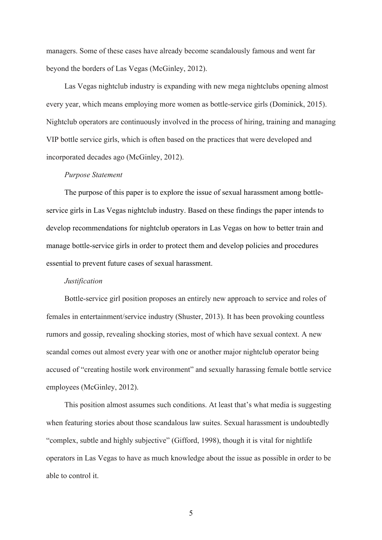managers. Some of these cases have already become scandalously famous and went far beyond the borders of Las Vegas (McGinley, 2012).

Las Vegas nightclub industry is expanding with new mega nightclubs opening almost every year, which means employing more women as bottle-service girls (Dominick, 2015). Nightclub operators are continuously involved in the process of hiring, training and managing VIP bottle service girls, which is often based on the practices that were developed and incorporated decades ago (McGinley, 2012).

#### *Purpose Statement*

The purpose of this paper is to explore the issue of sexual harassment among bottleservice girls in Las Vegas nightclub industry. Based on these findings the paper intends to develop recommendations for nightclub operators in Las Vegas on how to better train and manage bottle-service girls in order to protect them and develop policies and procedures essential to prevent future cases of sexual harassment.

#### *Justification*

Bottle-service girl position proposes an entirely new approach to service and roles of females in entertainment/service industry (Shuster, 2013). It has been provoking countless rumors and gossip, revealing shocking stories, most of which have sexual context. A new scandal comes out almost every year with one or another major nightclub operator being accused of "creating hostile work environment" and sexually harassing female bottle service employees (McGinley, 2012).

This position almost assumes such conditions. At least that's what media is suggesting when featuring stories about those scandalous law suites. Sexual harassment is undoubtedly "complex, subtle and highly subjective" (Gifford, 1998), though it is vital for nightlife operators in Las Vegas to have as much knowledge about the issue as possible in order to be able to control it.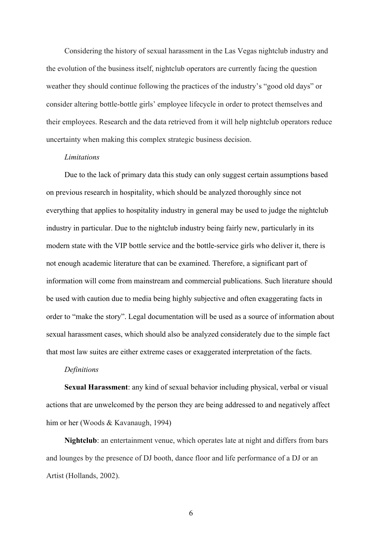Considering the history of sexual harassment in the Las Vegas nightclub industry and the evolution of the business itself, nightclub operators are currently facing the question weather they should continue following the practices of the industry's "good old days" or consider altering bottle-bottle girls' employee lifecycle in order to protect themselves and their employees. Research and the data retrieved from it will help nightclub operators reduce uncertainty when making this complex strategic business decision.

#### *Limitations*

Due to the lack of primary data this study can only suggest certain assumptions based on previous research in hospitality, which should be analyzed thoroughly since not everything that applies to hospitality industry in general may be used to judge the nightclub industry in particular. Due to the nightclub industry being fairly new, particularly in its modern state with the VIP bottle service and the bottle-service girls who deliver it, there is not enough academic literature that can be examined. Therefore, a significant part of information will come from mainstream and commercial publications. Such literature should be used with caution due to media being highly subjective and often exaggerating facts in order to "make the story". Legal documentation will be used as a source of information about sexual harassment cases, which should also be analyzed considerately due to the simple fact that most law suites are either extreme cases or exaggerated interpretation of the facts.

## *Definitions*

**Sexual Harassment**: any kind of sexual behavior including physical, verbal or visual actions that are unwelcomed by the person they are being addressed to and negatively affect him or her (Woods & Kavanaugh, 1994)

**Nightclub**: an entertainment venue, which operates late at night and differs from bars and lounges by the presence of DJ booth, dance floor and life performance of a DJ or an Artist (Hollands, 2002).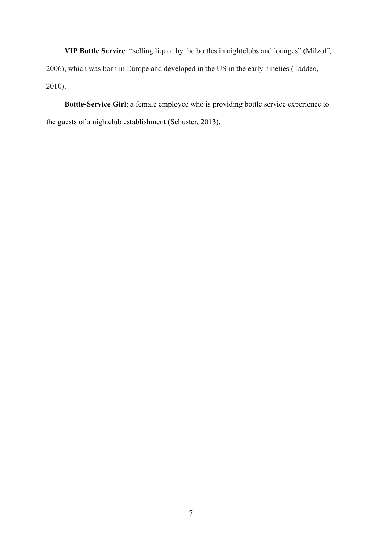**VIP Bottle Service**: "selling liquor by the bottles in nightclubs and lounges" (Milzoff, 2006), which was born in Europe and developed in the US in the early nineties (Taddeo, 2010).

**Bottle-Service Girl**: a female employee who is providing bottle service experience to the guests of a nightclub establishment (Schuster, 2013).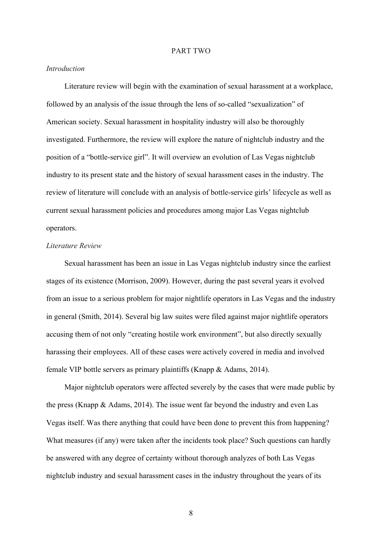#### PART TWO

## *Introduction*

Literature review will begin with the examination of sexual harassment at a workplace, followed by an analysis of the issue through the lens of so-called "sexualization" of American society. Sexual harassment in hospitality industry will also be thoroughly investigated. Furthermore, the review will explore the nature of nightclub industry and the position of a "bottle-service girl". It will overview an evolution of Las Vegas nightclub industry to its present state and the history of sexual harassment cases in the industry. The review of literature will conclude with an analysis of bottle-service girls' lifecycle as well as current sexual harassment policies and procedures among major Las Vegas nightclub operators.

## *Literature Review*

Sexual harassment has been an issue in Las Vegas nightclub industry since the earliest stages of its existence (Morrison, 2009). However, during the past several years it evolved from an issue to a serious problem for major nightlife operators in Las Vegas and the industry in general (Smith, 2014). Several big law suites were filed against major nightlife operators accusing them of not only "creating hostile work environment", but also directly sexually harassing their employees. All of these cases were actively covered in media and involved female VIP bottle servers as primary plaintiffs (Knapp & Adams, 2014).

Major nightclub operators were affected severely by the cases that were made public by the press (Knapp & Adams, 2014). The issue went far beyond the industry and even Las Vegas itself. Was there anything that could have been done to prevent this from happening? What measures (if any) were taken after the incidents took place? Such questions can hardly be answered with any degree of certainty without thorough analyzes of both Las Vegas nightclub industry and sexual harassment cases in the industry throughout the years of its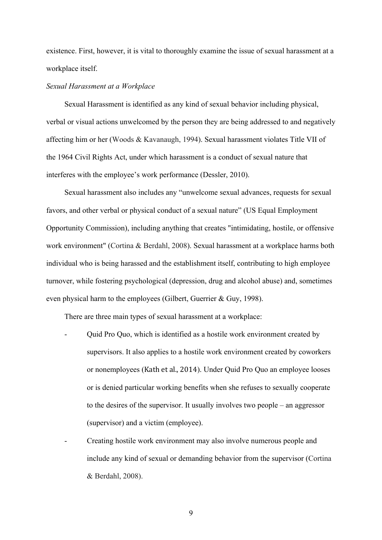existence. First, however, it is vital to thoroughly examine the issue of sexual harassment at a workplace itself.

#### *Sexual Harassment at a Workplace*

Sexual Harassment is identified as any kind of sexual behavior including physical, verbal or visual actions unwelcomed by the person they are being addressed to and negatively affecting him or her (Woods & Kavanaugh, 1994). Sexual harassment violates Title VII of the 1964 Civil Rights Act, under which harassment is a conduct of sexual nature that interferes with the employee's work performance (Dessler, 2010).

Sexual harassment also includes any "unwelcome sexual advances, requests for sexual favors, and other verbal or physical conduct of a sexual nature" (US Equal Employment Opportunity Commission), including anything that creates "intimidating, hostile, or offensive work environment" (Cortina & Berdahl, 2008). Sexual harassment at a workplace harms both individual who is being harassed and the establishment itself, contributing to high employee turnover, while fostering psychological (depression, drug and alcohol abuse) and, sometimes even physical harm to the employees (Gilbert, Guerrier & Guy, 1998).

There are three main types of sexual harassment at a workplace:

- Quid Pro Quo, which is identified as a hostile work environment created by supervisors. It also applies to a hostile work environment created by coworkers or nonemployees (Kath et al., 2014). Under Quid Pro Quo an employee looses or is denied particular working benefits when she refuses to sexually cooperate to the desires of the supervisor. It usually involves two people – an aggressor (supervisor) and a victim (employee).
- Creating hostile work environment may also involve numerous people and include any kind of sexual or demanding behavior from the supervisor (Cortina & Berdahl, 2008).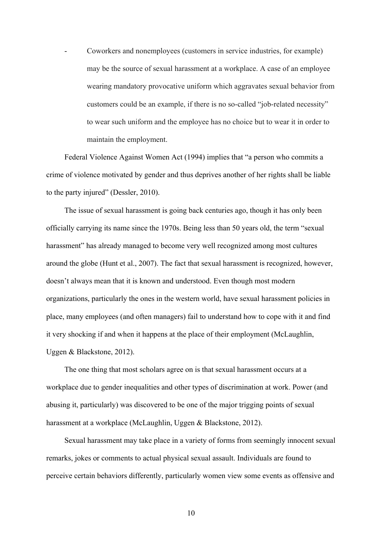- Coworkers and nonemployees (customers in service industries, for example) may be the source of sexual harassment at a workplace. A case of an employee wearing mandatory provocative uniform which aggravates sexual behavior from customers could be an example, if there is no so-called "job-related necessity" to wear such uniform and the employee has no choice but to wear it in order to maintain the employment.

Federal Violence Against Women Act (1994) implies that "a person who commits a crime of violence motivated by gender and thus deprives another of her rights shall be liable to the party injured" (Dessler, 2010).

The issue of sexual harassment is going back centuries ago, though it has only been officially carrying its name since the 1970s. Being less than 50 years old, the term "sexual harassment" has already managed to become very well recognized among most cultures around the globe (Hunt et al., 2007). The fact that sexual harassment is recognized, however, doesn't always mean that it is known and understood. Even though most modern organizations, particularly the ones in the western world, have sexual harassment policies in place, many employees (and often managers) fail to understand how to cope with it and find it very shocking if and when it happens at the place of their employment (McLaughlin, Uggen & Blackstone, 2012).

The one thing that most scholars agree on is that sexual harassment occurs at a workplace due to gender inequalities and other types of discrimination at work. Power (and abusing it, particularly) was discovered to be one of the major trigging points of sexual harassment at a workplace (McLaughlin, Uggen & Blackstone, 2012).

Sexual harassment may take place in a variety of forms from seemingly innocent sexual remarks, jokes or comments to actual physical sexual assault. Individuals are found to perceive certain behaviors differently, particularly women view some events as offensive and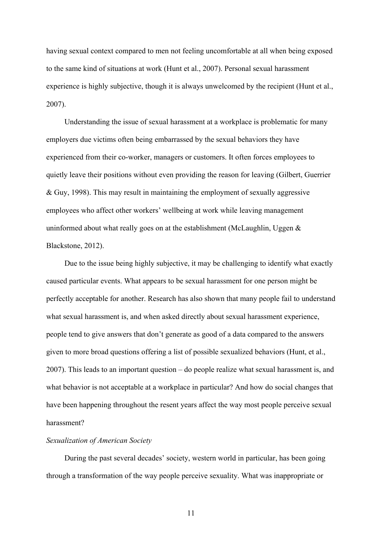having sexual context compared to men not feeling uncomfortable at all when being exposed to the same kind of situations at work (Hunt et al., 2007). Personal sexual harassment experience is highly subjective, though it is always unwelcomed by the recipient (Hunt et al., 2007).

Understanding the issue of sexual harassment at a workplace is problematic for many employers due victims often being embarrassed by the sexual behaviors they have experienced from their co-worker, managers or customers. It often forces employees to quietly leave their positions without even providing the reason for leaving (Gilbert, Guerrier & Guy, 1998). This may result in maintaining the employment of sexually aggressive employees who affect other workers' wellbeing at work while leaving management uninformed about what really goes on at the establishment (McLaughlin, Uggen  $\&$ Blackstone, 2012).

Due to the issue being highly subjective, it may be challenging to identify what exactly caused particular events. What appears to be sexual harassment for one person might be perfectly acceptable for another. Research has also shown that many people fail to understand what sexual harassment is, and when asked directly about sexual harassment experience, people tend to give answers that don't generate as good of a data compared to the answers given to more broad questions offering a list of possible sexualized behaviors (Hunt, et al., 2007). This leads to an important question – do people realize what sexual harassment is, and what behavior is not acceptable at a workplace in particular? And how do social changes that have been happening throughout the resent years affect the way most people perceive sexual harassment?

## *Sexualization of American Society*

During the past several decades' society, western world in particular, has been going through a transformation of the way people perceive sexuality. What was inappropriate or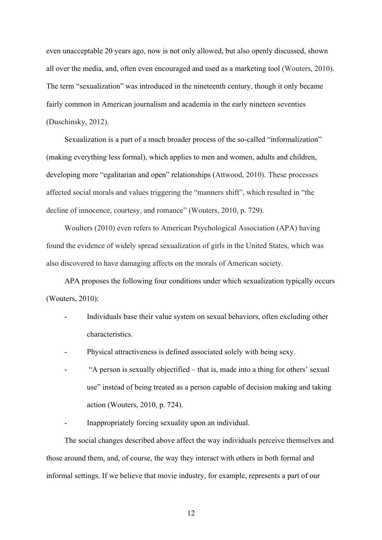even unacceptable 20 years ago, now is not only allowed, but also openly discussed, shown all over the media, and, often even encouraged and used as a marketing tool (Wouters, 2010). The term "sexualization" was introduced in the nineteenth century, though it only became fairly common in American journalism and academia in the early nineteen seventies (Duschinsky, 2012).

Sexualization is a part of a much broader process of the so-called "informalization" (making everything less formal), which applies to men and women, adults and children, developing more "egalitarian and open" relationships (Attwood, 2010). These processes affected social morals and values triggering the "manners shift", which resulted in "the decline of innocence, courtesy, and romance" (Wouters, 2010, p. 729).

Woulters (2010) even refers to American Psychological Association (APA) having found the evidence of widely spread sexualization of girls in the United States, which was also discovered to have damaging affects on the morals of American society.

APA proposes the following four conditions under which sexualization typically occurs (Wouters, 2010):

- Individuals base their value system on sexual behaviors, often excluding other characteristics.
- Physical attractiveness is defined associated solely with being sexy.
- "A person is sexually objectified that is, made into a thing for others' sexual use" instead of being treated as a person capable of decision making and taking action (Wouters, 2010, p. 724).
- Inappropriately forcing sexuality upon an individual.

The social changes described above affect the way individuals perceive themselves and those around them, and, of course, the way they interact with others in both formal and informal settings. If we believe that movie industry, for example, represents a part of our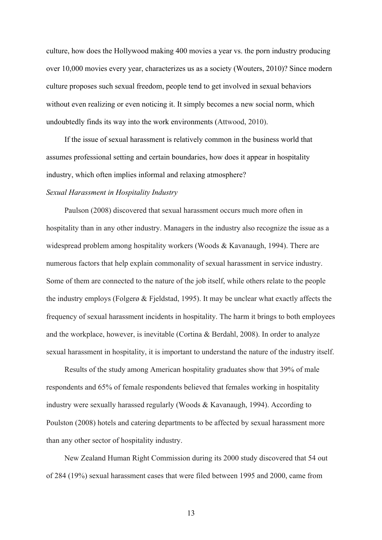culture, how does the Hollywood making 400 movies a year vs. the porn industry producing over 10,000 movies every year, characterizes us as a society (Wouters, 2010)? Since modern culture proposes such sexual freedom, people tend to get involved in sexual behaviors without even realizing or even noticing it. It simply becomes a new social norm, which undoubtedly finds its way into the work environments (Attwood, 2010).

If the issue of sexual harassment is relatively common in the business world that assumes professional setting and certain boundaries, how does it appear in hospitality industry, which often implies informal and relaxing atmosphere?

## *Sexual Harassment in Hospitality Industry*

Paulson (2008) discovered that sexual harassment occurs much more often in hospitality than in any other industry. Managers in the industry also recognize the issue as a widespread problem among hospitality workers (Woods & Kavanaugh, 1994). There are numerous factors that help explain commonality of sexual harassment in service industry. Some of them are connected to the nature of the job itself, while others relate to the people the industry employs (Folgerø & Fjeldstad, 1995). It may be unclear what exactly affects the frequency of sexual harassment incidents in hospitality. The harm it brings to both employees and the workplace, however, is inevitable (Cortina & Berdahl, 2008). In order to analyze sexual harassment in hospitality, it is important to understand the nature of the industry itself.

Results of the study among American hospitality graduates show that 39% of male respondents and 65% of female respondents believed that females working in hospitality industry were sexually harassed regularly (Woods & Kavanaugh, 1994). According to Poulston (2008) hotels and catering departments to be affected by sexual harassment more than any other sector of hospitality industry.

New Zealand Human Right Commission during its 2000 study discovered that 54 out of 284 (19%) sexual harassment cases that were filed between 1995 and 2000, came from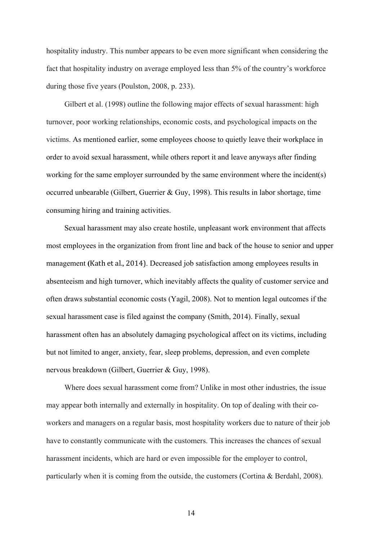hospitality industry. This number appears to be even more significant when considering the fact that hospitality industry on average employed less than 5% of the country's workforce during those five years (Poulston, 2008, p. 233).

Gilbert et al. (1998) outline the following major effects of sexual harassment: high turnover, poor working relationships, economic costs, and psychological impacts on the victims. As mentioned earlier, some employees choose to quietly leave their workplace in order to avoid sexual harassment, while others report it and leave anyways after finding working for the same employer surrounded by the same environment where the incident(s) occurred unbearable (Gilbert, Guerrier & Guy, 1998). This results in labor shortage, time consuming hiring and training activities.

Sexual harassment may also create hostile, unpleasant work environment that affects most employees in the organization from front line and back of the house to senior and upper management (Kath et al., 2014). Decreased job satisfaction among employees results in absenteeism and high turnover, which inevitably affects the quality of customer service and often draws substantial economic costs (Yagil, 2008). Not to mention legal outcomes if the sexual harassment case is filed against the company (Smith, 2014). Finally, sexual harassment often has an absolutely damaging psychological affect on its victims, including but not limited to anger, anxiety, fear, sleep problems, depression, and even complete nervous breakdown (Gilbert, Guerrier & Guy, 1998).

Where does sexual harassment come from? Unlike in most other industries, the issue may appear both internally and externally in hospitality. On top of dealing with their coworkers and managers on a regular basis, most hospitality workers due to nature of their job have to constantly communicate with the customers. This increases the chances of sexual harassment incidents, which are hard or even impossible for the employer to control, particularly when it is coming from the outside, the customers (Cortina & Berdahl, 2008).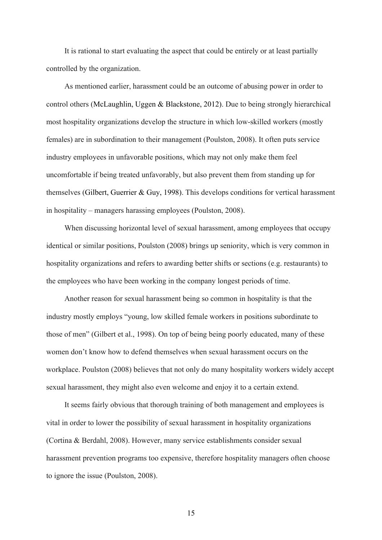It is rational to start evaluating the aspect that could be entirely or at least partially controlled by the organization.

As mentioned earlier, harassment could be an outcome of abusing power in order to control others (McLaughlin, Uggen & Blackstone, 2012). Due to being strongly hierarchical most hospitality organizations develop the structure in which low-skilled workers (mostly females) are in subordination to their management (Poulston, 2008). It often puts service industry employees in unfavorable positions, which may not only make them feel uncomfortable if being treated unfavorably, but also prevent them from standing up for themselves (Gilbert, Guerrier & Guy, 1998). This develops conditions for vertical harassment in hospitality – managers harassing employees (Poulston, 2008).

When discussing horizontal level of sexual harassment, among employees that occupy identical or similar positions, Poulston (2008) brings up seniority, which is very common in hospitality organizations and refers to awarding better shifts or sections (e.g. restaurants) to the employees who have been working in the company longest periods of time.

Another reason for sexual harassment being so common in hospitality is that the industry mostly employs "young, low skilled female workers in positions subordinate to those of men" (Gilbert et al., 1998). On top of being being poorly educated, many of these women don't know how to defend themselves when sexual harassment occurs on the workplace. Poulston (2008) believes that not only do many hospitality workers widely accept sexual harassment, they might also even welcome and enjoy it to a certain extend.

It seems fairly obvious that thorough training of both management and employees is vital in order to lower the possibility of sexual harassment in hospitality organizations (Cortina & Berdahl, 2008). However, many service establishments consider sexual harassment prevention programs too expensive, therefore hospitality managers often choose to ignore the issue (Poulston, 2008).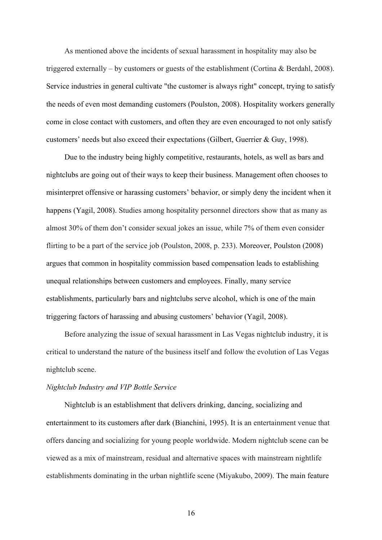As mentioned above the incidents of sexual harassment in hospitality may also be triggered externally – by customers or guests of the establishment (Cortina & Berdahl, 2008). Service industries in general cultivate "the customer is always right" concept, trying to satisfy the needs of even most demanding customers (Poulston, 2008). Hospitality workers generally come in close contact with customers, and often they are even encouraged to not only satisfy customers' needs but also exceed their expectations (Gilbert, Guerrier & Guy, 1998).

Due to the industry being highly competitive, restaurants, hotels, as well as bars and nightclubs are going out of their ways to keep their business. Management often chooses to misinterpret offensive or harassing customers' behavior, or simply deny the incident when it happens (Yagil, 2008). Studies among hospitality personnel directors show that as many as almost 30% of them don't consider sexual jokes an issue, while 7% of them even consider flirting to be a part of the service job (Poulston, 2008, p. 233). Moreover, Poulston (2008) argues that common in hospitality commission based compensation leads to establishing unequal relationships between customers and employees. Finally, many service establishments, particularly bars and nightclubs serve alcohol, which is one of the main triggering factors of harassing and abusing customers' behavior (Yagil, 2008).

Before analyzing the issue of sexual harassment in Las Vegas nightclub industry, it is critical to understand the nature of the business itself and follow the evolution of Las Vegas nightclub scene.

## *Nightclub Industry and VIP Bottle Service*

Nightclub is an establishment that delivers drinking, dancing, socializing and entertainment to its customers after dark (Bianchini, 1995). It is an entertainment venue that offers dancing and socializing for young people worldwide. Modern nightclub scene can be viewed as a mix of mainstream, residual and alternative spaces with mainstream nightlife establishments dominating in the urban nightlife scene (Miyakubo, 2009). The main feature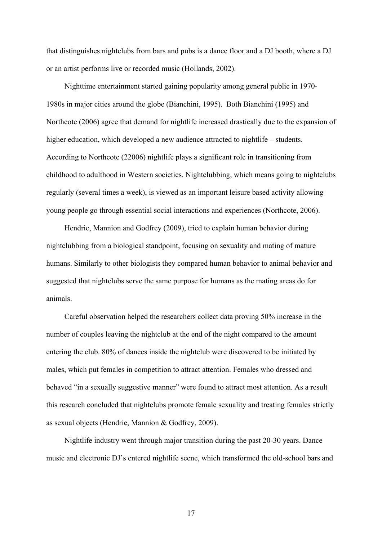that distinguishes nightclubs from bars and pubs is a dance floor and a DJ booth, where a DJ or an artist performs live or recorded music (Hollands, 2002).

Nighttime entertainment started gaining popularity among general public in 1970- 1980s in major cities around the globe (Bianchini, 1995). Both Bianchini (1995) and Northcote (2006) agree that demand for nightlife increased drastically due to the expansion of higher education, which developed a new audience attracted to nightlife – students. According to Northcote (22006) nightlife plays a significant role in transitioning from childhood to adulthood in Western societies. Nightclubbing, which means going to nightclubs regularly (several times a week), is viewed as an important leisure based activity allowing young people go through essential social interactions and experiences (Northcote, 2006).

Hendrie, Mannion and Godfrey (2009), tried to explain human behavior during nightclubbing from a biological standpoint, focusing on sexuality and mating of mature humans. Similarly to other biologists they compared human behavior to animal behavior and suggested that nightclubs serve the same purpose for humans as the mating areas do for animals.

Careful observation helped the researchers collect data proving 50% increase in the number of couples leaving the nightclub at the end of the night compared to the amount entering the club. 80% of dances inside the nightclub were discovered to be initiated by males, which put females in competition to attract attention. Females who dressed and behaved "in a sexually suggestive manner" were found to attract most attention. As a result this research concluded that nightclubs promote female sexuality and treating females strictly as sexual objects (Hendrie, Mannion & Godfrey, 2009).

Nightlife industry went through major transition during the past 20-30 years. Dance music and electronic DJ's entered nightlife scene, which transformed the old-school bars and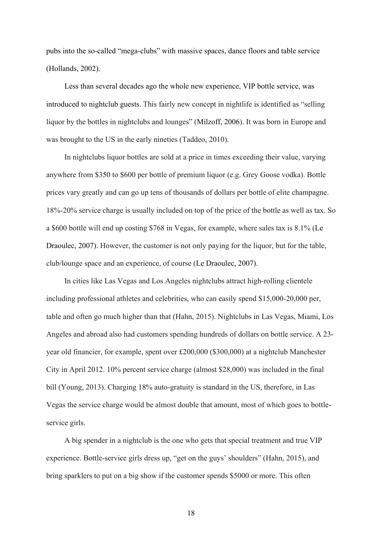pubs into the so-called "mega-clubs" with massive spaces, dance floors and table service (Hollands, 2002).

Less than several decades ago the whole new experience, VIP bottle service, was introduced to nightclub guests. This fairly new concept in nightlife is identified as "selling liquor by the bottles in nightclubs and lounges" (Milzoff, 2006). It was born in Europe and was brought to the US in the early nineties (Taddeo, 2010).

In nightclubs liquor bottles are sold at a price in times exceeding their value, varying anywhere from \$350 to \$600 per bottle of premium liquor (e.g. Grey Goose vodka). Bottle prices vary greatly and can go up tens of thousands of dollars per bottle of elite champagne. 18%-20% service charge is usually included on top of the price of the bottle as well as tax. So a \$600 bottle will end up costing \$768 in Vegas, for example, where sales tax is 8.1% (Le Draoulec, 2007). However, the customer is not only paying for the liquor, but for the table, club/lounge space and an experience, of course (Le Draoulec, 2007).

In cities like Las Vegas and Los Angeles nightclubs attract high-rolling clientele including professional athletes and celebrities, who can easily spend \$15,000-20,000 per, table and often go much higher than that (Hahn, 2015). Nightclubs in Las Vegas, Miami, Los Angeles and abroad also had customers spending hundreds of dollars on bottle service. A 23 year old financier, for example, spent over £200,000 (\$300,000) at a nightclub Manchester City in April 2012. 10% percent service charge (almost \$28,000) was included in the final bill (Young, 2013). Charging 18% auto-gratuity is standard in the US, therefore, in Las Vegas the service charge would be almost double that amount, most of which goes to bottleservice girls.

A big spender in a nightclub is the one who gets that special treatment and true VIP experience. Bottle-service girls dress up, "get on the guys' shoulders" (Hahn, 2015), and bring sparklers to put on a big show if the customer spends \$5000 or more. This often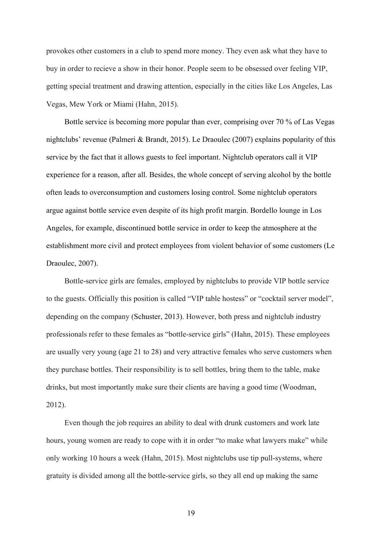provokes other customers in a club to spend more money. They even ask what they have to buy in order to recieve a show in their honor. People seem to be obsessed over feeling VIP, getting special treatment and drawing attention, especially in the cities like Los Angeles, Las Vegas, Mew York or Miami (Hahn, 2015).

Bottle service is becoming more popular than ever, comprising over 70 % of Las Vegas nightclubs' revenue (Palmeri & Brandt, 2015). Le Draoulec (2007) explains popularity of this service by the fact that it allows guests to feel important. Nightclub operators call it VIP experience for a reason, after all. Besides, the whole concept of serving alcohol by the bottle often leads to overconsumption and customers losing control. Some nightclub operators argue against bottle service even despite of its high profit margin. Bordello lounge in Los Angeles, for example, discontinued bottle service in order to keep the atmosphere at the establishment more civil and protect employees from violent behavior of some customers (Le Draoulec, 2007).

Bottle-service girls are females, employed by nightclubs to provide VIP bottle service to the guests. Officially this position is called "VIP table hostess" or "cocktail server model", depending on the company (Schuster, 2013). However, both press and nightclub industry professionals refer to these females as "bottle-service girls" (Hahn, 2015). These employees are usually very young (age 21 to 28) and very attractive females who serve customers when they purchase bottles. Their responsibility is to sell bottles, bring them to the table, make drinks, but most importantly make sure their clients are having a good time (Woodman, 2012).

Even though the job requires an ability to deal with drunk customers and work late hours, young women are ready to cope with it in order "to make what lawyers make" while only working 10 hours a week (Hahn, 2015). Most nightclubs use tip pull-systems, where gratuity is divided among all the bottle-service girls, so they all end up making the same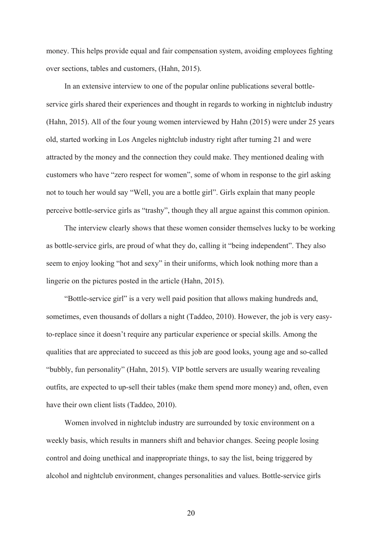money. This helps provide equal and fair compensation system, avoiding employees fighting over sections, tables and customers, (Hahn, 2015).

In an extensive interview to one of the popular online publications several bottleservice girls shared their experiences and thought in regards to working in nightclub industry (Hahn, 2015). All of the four young women interviewed by Hahn (2015) were under 25 years old, started working in Los Angeles nightclub industry right after turning 21 and were attracted by the money and the connection they could make. They mentioned dealing with customers who have "zero respect for women", some of whom in response to the girl asking not to touch her would say "Well, you are a bottle girl". Girls explain that many people perceive bottle-service girls as "trashy", though they all argue against this common opinion.

The interview clearly shows that these women consider themselves lucky to be working as bottle-service girls, are proud of what they do, calling it "being independent". They also seem to enjoy looking "hot and sexy" in their uniforms, which look nothing more than a lingerie on the pictures posted in the article (Hahn, 2015).

"Bottle-service girl" is a very well paid position that allows making hundreds and, sometimes, even thousands of dollars a night (Taddeo, 2010). However, the job is very easyto-replace since it doesn't require any particular experience or special skills. Among the qualities that are appreciated to succeed as this job are good looks, young age and so-called "bubbly, fun personality" (Hahn, 2015). VIP bottle servers are usually wearing revealing outfits, are expected to up-sell their tables (make them spend more money) and, often, even have their own client lists (Taddeo, 2010).

Women involved in nightclub industry are surrounded by toxic environment on a weekly basis, which results in manners shift and behavior changes. Seeing people losing control and doing unethical and inappropriate things, to say the list, being triggered by alcohol and nightclub environment, changes personalities and values. Bottle-service girls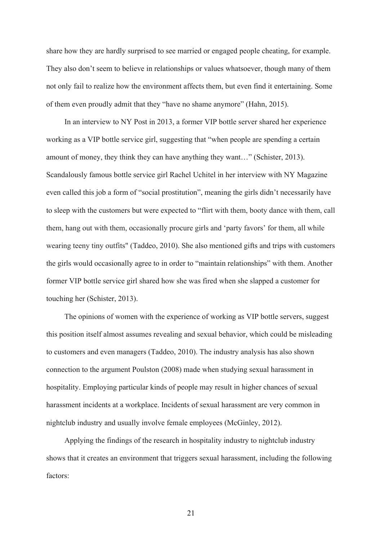share how they are hardly surprised to see married or engaged people cheating, for example. They also don't seem to believe in relationships or values whatsoever, though many of them not only fail to realize how the environment affects them, but even find it entertaining. Some of them even proudly admit that they "have no shame anymore" (Hahn, 2015).

In an interview to NY Post in 2013, a former VIP bottle server shared her experience working as a VIP bottle service girl, suggesting that "when people are spending a certain amount of money, they think they can have anything they want…" (Schister, 2013). Scandalously famous bottle service girl Rachel Uchitel in her interview with NY Magazine even called this job a form of "social prostitution", meaning the girls didn't necessarily have to sleep with the customers but were expected to "flirt with them, booty dance with them, call them, hang out with them, occasionally procure girls and 'party favors' for them, all while wearing teeny tiny outfits" (Taddeo, 2010). She also mentioned gifts and trips with customers the girls would occasionally agree to in order to "maintain relationships" with them. Another former VIP bottle service girl shared how she was fired when she slapped a customer for touching her (Schister, 2013).

The opinions of women with the experience of working as VIP bottle servers, suggest this position itself almost assumes revealing and sexual behavior, which could be misleading to customers and even managers (Taddeo, 2010). The industry analysis has also shown connection to the argument Poulston (2008) made when studying sexual harassment in hospitality. Employing particular kinds of people may result in higher chances of sexual harassment incidents at a workplace. Incidents of sexual harassment are very common in nightclub industry and usually involve female employees (McGinley, 2012).

Applying the findings of the research in hospitality industry to nightclub industry shows that it creates an environment that triggers sexual harassment, including the following factors: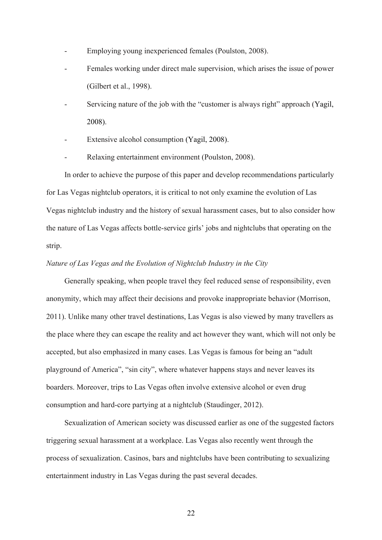- Employing young inexperienced females (Poulston, 2008).
- Females working under direct male supervision, which arises the issue of power (Gilbert et al., 1998).
- Servicing nature of the job with the "customer is always right" approach (Yagil, 2008).
- Extensive alcohol consumption (Yagil, 2008).
- Relaxing entertainment environment (Poulston, 2008).

In order to achieve the purpose of this paper and develop recommendations particularly for Las Vegas nightclub operators, it is critical to not only examine the evolution of Las Vegas nightclub industry and the history of sexual harassment cases, but to also consider how the nature of Las Vegas affects bottle-service girls' jobs and nightclubs that operating on the strip.

## *Nature of Las Vegas and the Evolution of Nightclub Industry in the City*

Generally speaking, when people travel they feel reduced sense of responsibility, even anonymity, which may affect their decisions and provoke inappropriate behavior (Morrison, 2011). Unlike many other travel destinations, Las Vegas is also viewed by many travellers as the place where they can escape the reality and act however they want, which will not only be accepted, but also emphasized in many cases. Las Vegas is famous for being an "adult playground of America", "sin city", where whatever happens stays and never leaves its boarders. Moreover, trips to Las Vegas often involve extensive alcohol or even drug consumption and hard-core partying at a nightclub (Staudinger, 2012).

Sexualization of American society was discussed earlier as one of the suggested factors triggering sexual harassment at a workplace. Las Vegas also recently went through the process of sexualization. Casinos, bars and nightclubs have been contributing to sexualizing entertainment industry in Las Vegas during the past several decades.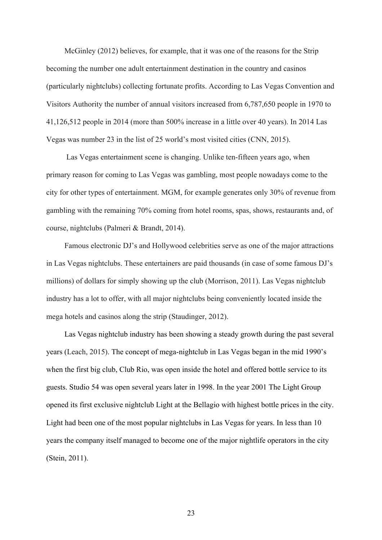McGinley (2012) believes, for example, that it was one of the reasons for the Strip becoming the number one adult entertainment destination in the country and casinos (particularly nightclubs) collecting fortunate profits. According to Las Vegas Convention and Visitors Authority the number of annual visitors increased from 6,787,650 people in 1970 to 41,126,512 people in 2014 (more than 500% increase in a little over 40 years). In 2014 Las Vegas was number 23 in the list of 25 world's most visited cities (CNN, 2015).

Las Vegas entertainment scene is changing. Unlike ten-fifteen years ago, when primary reason for coming to Las Vegas was gambling, most people nowadays come to the city for other types of entertainment. MGM, for example generates only 30% of revenue from gambling with the remaining 70% coming from hotel rooms, spas, shows, restaurants and, of course, nightclubs (Palmeri & Brandt, 2014).

Famous electronic DJ's and Hollywood celebrities serve as one of the major attractions in Las Vegas nightclubs. These entertainers are paid thousands (in case of some famous DJ's millions) of dollars for simply showing up the club (Morrison, 2011). Las Vegas nightclub industry has a lot to offer, with all major nightclubs being conveniently located inside the mega hotels and casinos along the strip (Staudinger, 2012).

Las Vegas nightclub industry has been showing a steady growth during the past several years (Leach, 2015). The concept of mega-nightclub in Las Vegas began in the mid 1990's when the first big club, Club Rio, was open inside the hotel and offered bottle service to its guests. Studio 54 was open several years later in 1998. In the year 2001 The Light Group opened its first exclusive nightclub Light at the Bellagio with highest bottle prices in the city. Light had been one of the most popular nightclubs in Las Vegas for years. In less than 10 years the company itself managed to become one of the major nightlife operators in the city (Stein, 2011).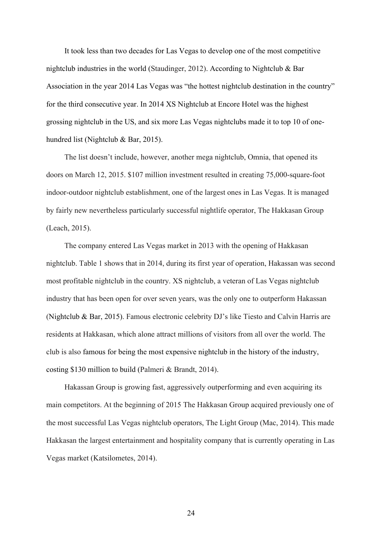It took less than two decades for Las Vegas to develop one of the most competitive nightclub industries in the world (Staudinger, 2012). According to Nightclub & Bar Association in the year 2014 Las Vegas was "the hottest nightclub destination in the country" for the third consecutive year. In 2014 XS Nightclub at Encore Hotel was the highest grossing nightclub in the US, and six more Las Vegas nightclubs made it to top 10 of onehundred list (Nightclub & Bar, 2015).

The list doesn't include, however, another mega nightclub, Omnia, that opened its doors on March 12, 2015. \$107 million investment resulted in creating 75,000-square-foot indoor-outdoor nightclub establishment, one of the largest ones in Las Vegas. It is managed by fairly new nevertheless particularly successful nightlife operator, The Hakkasan Group (Leach, 2015).

The company entered Las Vegas market in 2013 with the opening of Hakkasan nightclub. Table 1 shows that in 2014, during its first year of operation, Hakassan was second most profitable nightclub in the country. XS nightclub, a veteran of Las Vegas nightclub industry that has been open for over seven years, was the only one to outperform Hakassan (Nightclub & Bar, 2015). Famous electronic celebrity DJ's like Tiesto and Calvin Harris are residents at Hakkasan, which alone attract millions of visitors from all over the world. The club is also famous for being the most expensive nightclub in the history of the industry, costing \$130 million to build (Palmeri & Brandt, 2014).

Hakassan Group is growing fast, aggressively outperforming and even acquiring its main competitors. At the beginning of 2015 The Hakkasan Group acquired previously one of the most successful Las Vegas nightclub operators, The Light Group (Mac, 2014). This made Hakkasan the largest entertainment and hospitality company that is currently operating in Las Vegas market (Katsilometes, 2014).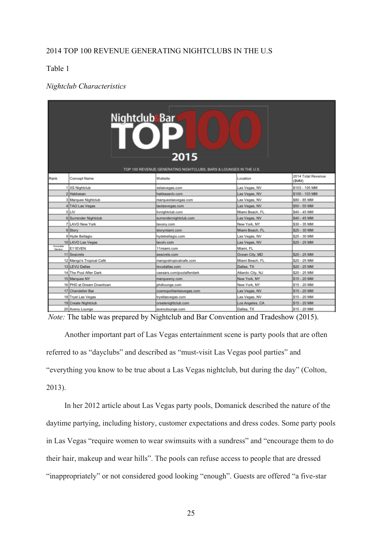## 2014 TOP 100 REVENUE GENERATING NIGHTCLUBS IN THE U.S

## Table 1

## *Nightclub Characteristics*

| Nightclub <mark>&amp;Bar</mark><br>2015<br>TOP 100 REVENUE GENERATING NIGHTCLUBS, BARS & LOUNGES IN THE U.S. |                          |                           |                   |                              |  |  |
|--------------------------------------------------------------------------------------------------------------|--------------------------|---------------------------|-------------------|------------------------------|--|--|
| Rank                                                                                                         | Concept Name             | Website                   | Location          | 2014 Total Revenue<br>(\$MM) |  |  |
|                                                                                                              | 1 XS Nightclub           | xslasvegas.com            | Las Vegas, NV     | \$103 - 105 MM               |  |  |
|                                                                                                              | 2 Hakkasan               | hakkasanly.com            | Las Vegas, NV     | \$100 - 103 MM               |  |  |
|                                                                                                              | 3 Marquee Nightclub      | marqueelasvegas.com       | Las Vegas, NV     | \$80 - 85 MM                 |  |  |
|                                                                                                              | 4 TAO Las Vegas          | taolasvegas.com           | Las Vegas, NV     | \$50 - 55 MM                 |  |  |
|                                                                                                              | 5 LIV                    | livnightclub.com          | Miami Beach, FL   | \$40 - 45 MM                 |  |  |
|                                                                                                              | 6 Surrender Nightclub    | surrendernightclub.com    | Las Vegas, NV     | \$40 - 45 MM                 |  |  |
|                                                                                                              | 7 LAVO New York          | lavony.com                | New York, NY      | \$30 - 35 MM                 |  |  |
|                                                                                                              | 8 Story                  | storymiami.com            | Miami Beach, FL   | \$25 - 30 MM                 |  |  |
|                                                                                                              | 9 Hyde Bellagio          | hydebellagio.com          | Las Vegas, NV     | \$25 - 30 MM                 |  |  |
|                                                                                                              | 10 LAVO Las Vegas        | lavolv.com                | Las Vegas, NV     | \$20 - 25 MM                 |  |  |
| Honorable<br><b>Mention</b>                                                                                  | E11EVEN                  | 11miami.com               | Miami, FL         |                              |  |  |
|                                                                                                              | 11 Seacrets              | seacrets.com              | Ocean City, MD    | \$20 - 25 MM                 |  |  |
|                                                                                                              | 12 Mango's Tropical Café | mangostropicalcafe.com    | Miami Beach, FL   | \$20 - 25 MM                 |  |  |
|                                                                                                              | 13 LEVU Dallas           | levudallas.com            | Dallas, TX        | \$20 - 25 MM                 |  |  |
|                                                                                                              | 14 The Pool After Dark   | caesars.com/poolafterdark | Atlantic City, NJ | \$20 - 25 MM                 |  |  |
|                                                                                                              | 15 Marquee NY            | marqueeny.com             | New York, NY      | \$15 - 20 MM                 |  |  |
|                                                                                                              | 16 PHD at Dream Downtown | phdlounge.com             | New York, NY      | \$15 - 20 MM                 |  |  |
|                                                                                                              | 17 Chandelier Bar        | cosmopolitanlasvegas.com  | Las Vegas, NV     | \$15 - 20 MM                 |  |  |
|                                                                                                              | 18 Tryst Las Vegas       | trystlasvegas.com         | Las Vegas, NV     | \$15 - 20 MM                 |  |  |
|                                                                                                              | 19 Create Nightclub      | createnightclub.com       | Los Angeles, CA   | \$15 - 20 MM                 |  |  |
|                                                                                                              | 20 Avenu Lounge          | avenulounge.com           | Dallas, TX        | \$15 - 20 MM                 |  |  |

*Note:* The table was prepared by Nightclub and Bar Convention and Tradeshow (2015).

Another important part of Las Vegas entertainment scene is party pools that are often referred to as "dayclubs" and described as "must-visit Las Vegas pool parties" and "everything you know to be true about a Las Vegas nightclub, but during the day" (Colton, 2013).

In her 2012 article about Las Vegas party pools, Domanick described the nature of the daytime partying, including history, customer expectations and dress codes. Some party pools in Las Vegas "require women to wear swimsuits with a sundress" and "encourage them to do their hair, makeup and wear hills". The pools can refuse access to people that are dressed "inappropriately" or not considered good looking "enough". Guests are offered "a five-star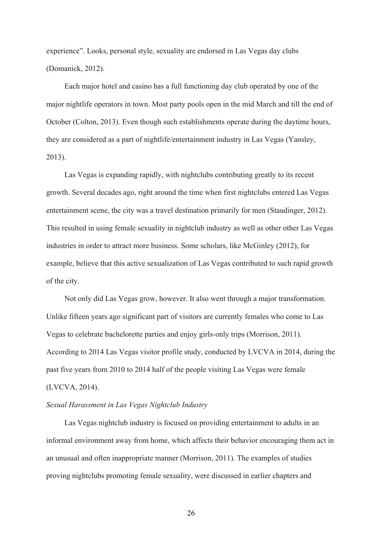experience". Looks, personal style, sexuality are endorsed in Las Vegas day clubs (Domanick, 2012).

Each major hotel and casino has a full functioning day club operated by one of the major nightlife operators in town. Most party pools open in the mid March and till the end of October (Colton, 2013). Even though such establishments operate during the daytime hours, they are considered as a part of nightlife/entertainment industry in Las Vegas (Yansley, 2013).

Las Vegas is expanding rapidly, with nightclubs contributing greatly to its recent growth. Several decades ago, right around the time when first nightclubs entered Las Vegas entertainment scene, the city was a travel destination primarily for men (Staudinger, 2012). This resulted in using female sexuality in nightclub industry as well as other other Las Vegas industries in order to attract more business. Some scholars, like McGinley (2012), for example, believe that this active sexualization of Las Vegas contributed to such rapid growth of the city.

Not only did Las Vegas grow, however. It also went through a major transformation. Unlike fifteen years ago significant part of visitors are currently females who come to Las Vegas to celebrate bachelorette parties and enjoy girls-only trips (Morrison, 2011). According to 2014 Las Vegas visitor profile study, conducted by LVCVA in 2014, during the past five years from 2010 to 2014 half of the people visiting Las Vegas were female (LVCVA, 2014).

## *Sexual Harassment in Las Vegas Nightclub Industry*

Las Vegas nightclub industry is focused on providing entertainment to adults in an informal environment away from home, which affects their behavior encouraging them act in an unusual and often inappropriate manner (Morrison, 2011). The examples of studies proving nightclubs promoting female sexuality, were discussed in earlier chapters and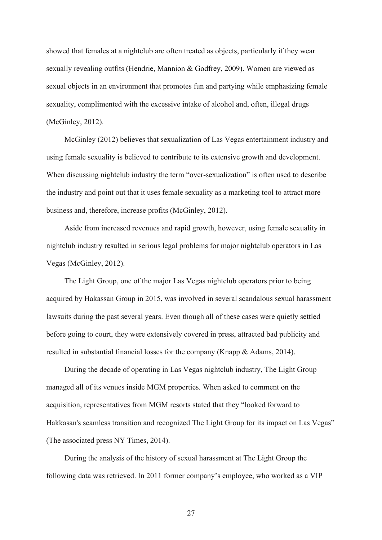showed that females at a nightclub are often treated as objects, particularly if they wear sexually revealing outfits (Hendrie, Mannion & Godfrey, 2009). Women are viewed as sexual objects in an environment that promotes fun and partying while emphasizing female sexuality, complimented with the excessive intake of alcohol and, often, illegal drugs (McGinley, 2012).

McGinley (2012) believes that sexualization of Las Vegas entertainment industry and using female sexuality is believed to contribute to its extensive growth and development. When discussing nightclub industry the term "over-sexualization" is often used to describe the industry and point out that it uses female sexuality as a marketing tool to attract more business and, therefore, increase profits (McGinley, 2012).

Aside from increased revenues and rapid growth, however, using female sexuality in nightclub industry resulted in serious legal problems for major nightclub operators in Las Vegas (McGinley, 2012).

The Light Group, one of the major Las Vegas nightclub operators prior to being acquired by Hakassan Group in 2015, was involved in several scandalous sexual harassment lawsuits during the past several years. Even though all of these cases were quietly settled before going to court, they were extensively covered in press, attracted bad publicity and resulted in substantial financial losses for the company (Knapp & Adams, 2014).

During the decade of operating in Las Vegas nightclub industry, The Light Group managed all of its venues inside MGM properties. When asked to comment on the acquisition, representatives from MGM resorts stated that they "looked forward to Hakkasan's seamless transition and recognized The Light Group for its impact on Las Vegas" (The associated press NY Times, 2014).

During the analysis of the history of sexual harassment at The Light Group the following data was retrieved. In 2011 former company's employee, who worked as a VIP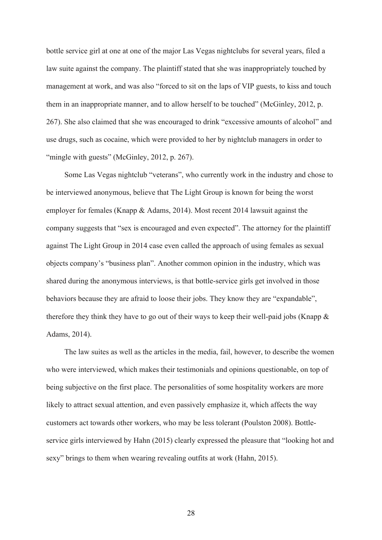bottle service girl at one at one of the major Las Vegas nightclubs for several years, filed a law suite against the company. The plaintiff stated that she was inappropriately touched by management at work, and was also "forced to sit on the laps of VIP guests, to kiss and touch them in an inappropriate manner, and to allow herself to be touched" (McGinley, 2012, p. 267). She also claimed that she was encouraged to drink "excessive amounts of alcohol" and use drugs, such as cocaine, which were provided to her by nightclub managers in order to "mingle with guests" (McGinley, 2012, p. 267).

Some Las Vegas nightclub "veterans", who currently work in the industry and chose to be interviewed anonymous, believe that The Light Group is known for being the worst employer for females (Knapp & Adams, 2014). Most recent 2014 lawsuit against the company suggests that "sex is encouraged and even expected". The attorney for the plaintiff against The Light Group in 2014 case even called the approach of using females as sexual objects company's "business plan". Another common opinion in the industry, which was shared during the anonymous interviews, is that bottle-service girls get involved in those behaviors because they are afraid to loose their jobs. They know they are "expandable", therefore they think they have to go out of their ways to keep their well-paid jobs (Knapp  $\&$ Adams, 2014).

The law suites as well as the articles in the media, fail, however, to describe the women who were interviewed, which makes their testimonials and opinions questionable, on top of being subjective on the first place. The personalities of some hospitality workers are more likely to attract sexual attention, and even passively emphasize it, which affects the way customers act towards other workers, who may be less tolerant (Poulston 2008). Bottleservice girls interviewed by Hahn (2015) clearly expressed the pleasure that "looking hot and sexy" brings to them when wearing revealing outfits at work (Hahn, 2015).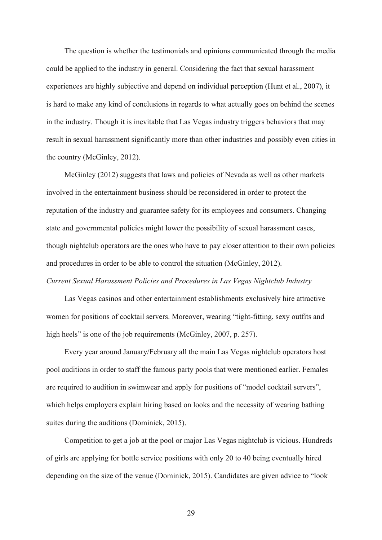The question is whether the testimonials and opinions communicated through the media could be applied to the industry in general. Considering the fact that sexual harassment experiences are highly subjective and depend on individual perception (Hunt et al., 2007), it is hard to make any kind of conclusions in regards to what actually goes on behind the scenes in the industry. Though it is inevitable that Las Vegas industry triggers behaviors that may result in sexual harassment significantly more than other industries and possibly even cities in the country (McGinley, 2012).

McGinley (2012) suggests that laws and policies of Nevada as well as other markets involved in the entertainment business should be reconsidered in order to protect the reputation of the industry and guarantee safety for its employees and consumers. Changing state and governmental policies might lower the possibility of sexual harassment cases, though nightclub operators are the ones who have to pay closer attention to their own policies and procedures in order to be able to control the situation (McGinley, 2012).

## *Current Sexual Harassment Policies and Procedures in Las Vegas Nightclub Industry*

Las Vegas casinos and other entertainment establishments exclusively hire attractive women for positions of cocktail servers. Moreover, wearing "tight-fitting, sexy outfits and high heels" is one of the job requirements (McGinley, 2007, p. 257).

Every year around January/February all the main Las Vegas nightclub operators host pool auditions in order to staff the famous party pools that were mentioned earlier. Females are required to audition in swimwear and apply for positions of "model cocktail servers", which helps employers explain hiring based on looks and the necessity of wearing bathing suites during the auditions (Dominick, 2015).

Competition to get a job at the pool or major Las Vegas nightclub is vicious. Hundreds of girls are applying for bottle service positions with only 20 to 40 being eventually hired depending on the size of the venue (Dominick, 2015). Candidates are given advice to "look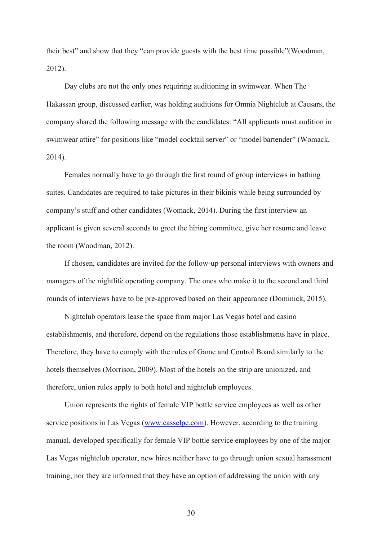their best" and show that they "can provide guests with the best time possible"(Woodman, 2012).

Day clubs are not the only ones requiring auditioning in swimwear. When The Hakassan group, discussed earlier, was holding auditions for Omnia Nightclub at Caesars, the company shared the following message with the candidates: "All applicants must audition in swimwear attire" for positions like "model cocktail server" or "model bartender" (Womack, 2014).

Females normally have to go through the first round of group interviews in bathing suites. Candidates are required to take pictures in their bikinis while being surrounded by company's stuff and other candidates (Womack, 2014). During the first interview an applicant is given several seconds to greet the hiring committee, give her resume and leave the room (Woodman, 2012).

If chosen, candidates are invited for the follow-up personal interviews with owners and managers of the nightlife operating company. The ones who make it to the second and third rounds of interviews have to be pre-approved based on their appearance (Dominick, 2015).

Nightclub operators lease the space from major Las Vegas hotel and casino establishments, and therefore, depend on the regulations those establishments have in place. Therefore, they have to comply with the rules of Game and Control Board similarly to the hotels themselves (Morrison, 2009). Most of the hotels on the strip are unionized, and therefore, union rules apply to both hotel and nightclub employees.

Union represents the rights of female VIP bottle service employees as well as other service positions in Las Vegas (www.casselpc.com). However, according to the training manual, developed specifically for female VIP bottle service employees by one of the major Las Vegas nightclub operator, new hires neither have to go through union sexual harassment training, nor they are informed that they have an option of addressing the union with any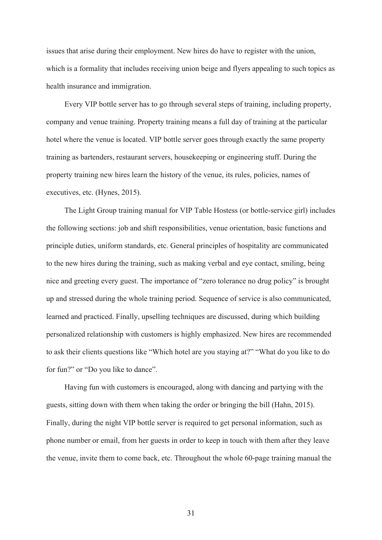issues that arise during their employment. New hires do have to register with the union, which is a formality that includes receiving union beige and flyers appealing to such topics as health insurance and immigration.

Every VIP bottle server has to go through several steps of training, including property, company and venue training. Property training means a full day of training at the particular hotel where the venue is located. VIP bottle server goes through exactly the same property training as bartenders, restaurant servers, housekeeping or engineering stuff. During the property training new hires learn the history of the venue, its rules, policies, names of executives, etc. (Hynes, 2015).

The Light Group training manual for VIP Table Hostess (or bottle-service girl) includes the following sections: job and shift responsibilities, venue orientation, basic functions and principle duties, uniform standards, etc. General principles of hospitality are communicated to the new hires during the training, such as making verbal and eye contact, smiling, being nice and greeting every guest. The importance of "zero tolerance no drug policy" is brought up and stressed during the whole training period. Sequence of service is also communicated, learned and practiced. Finally, upselling techniques are discussed, during which building personalized relationship with customers is highly emphasized. New hires are recommended to ask their clients questions like "Which hotel are you staying at?" "What do you like to do for fun?" or "Do you like to dance".

Having fun with customers is encouraged, along with dancing and partying with the guests, sitting down with them when taking the order or bringing the bill (Hahn, 2015). Finally, during the night VIP bottle server is required to get personal information, such as phone number or email, from her guests in order to keep in touch with them after they leave the venue, invite them to come back, etc. Throughout the whole 60-page training manual the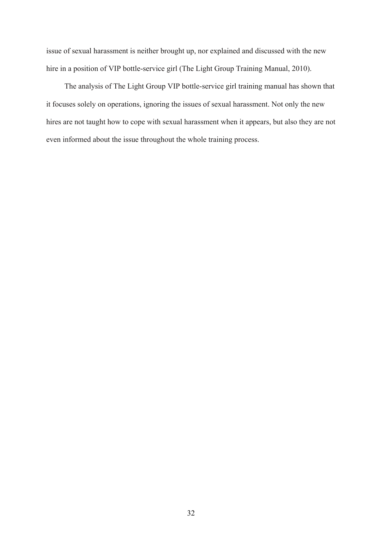issue of sexual harassment is neither brought up, nor explained and discussed with the new hire in a position of VIP bottle-service girl (The Light Group Training Manual, 2010).

The analysis of The Light Group VIP bottle-service girl training manual has shown that it focuses solely on operations, ignoring the issues of sexual harassment. Not only the new hires are not taught how to cope with sexual harassment when it appears, but also they are not even informed about the issue throughout the whole training process.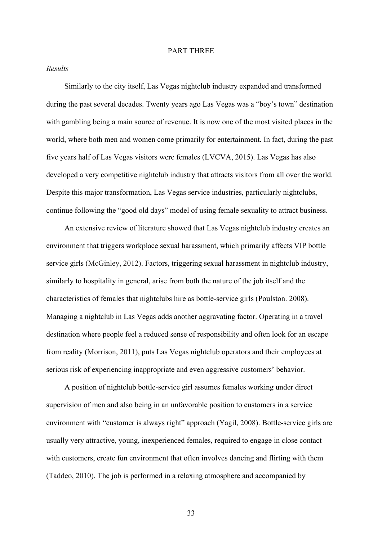#### PART THREE

## *Results*

Similarly to the city itself, Las Vegas nightclub industry expanded and transformed during the past several decades. Twenty years ago Las Vegas was a "boy's town" destination with gambling being a main source of revenue. It is now one of the most visited places in the world, where both men and women come primarily for entertainment. In fact, during the past five years half of Las Vegas visitors were females (LVCVA, 2015). Las Vegas has also developed a very competitive nightclub industry that attracts visitors from all over the world. Despite this major transformation, Las Vegas service industries, particularly nightclubs, continue following the "good old days" model of using female sexuality to attract business.

An extensive review of literature showed that Las Vegas nightclub industry creates an environment that triggers workplace sexual harassment, which primarily affects VIP bottle service girls (McGinley, 2012). Factors, triggering sexual harassment in nightclub industry, similarly to hospitality in general, arise from both the nature of the job itself and the characteristics of females that nightclubs hire as bottle-service girls (Poulston. 2008). Managing a nightclub in Las Vegas adds another aggravating factor. Operating in a travel destination where people feel a reduced sense of responsibility and often look for an escape from reality (Morrison, 2011), puts Las Vegas nightclub operators and their employees at serious risk of experiencing inappropriate and even aggressive customers' behavior.

A position of nightclub bottle-service girl assumes females working under direct supervision of men and also being in an unfavorable position to customers in a service environment with "customer is always right" approach (Yagil, 2008). Bottle-service girls are usually very attractive, young, inexperienced females, required to engage in close contact with customers, create fun environment that often involves dancing and flirting with them (Taddeo, 2010). The job is performed in a relaxing atmosphere and accompanied by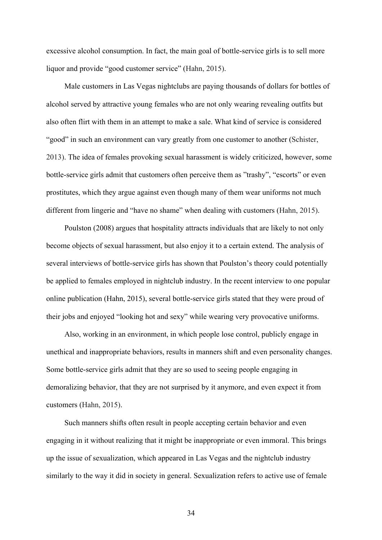excessive alcohol consumption. In fact, the main goal of bottle-service girls is to sell more liquor and provide "good customer service" (Hahn, 2015).

Male customers in Las Vegas nightclubs are paying thousands of dollars for bottles of alcohol served by attractive young females who are not only wearing revealing outfits but also often flirt with them in an attempt to make a sale. What kind of service is considered "good" in such an environment can vary greatly from one customer to another (Schister, 2013). The idea of females provoking sexual harassment is widely criticized, however, some bottle-service girls admit that customers often perceive them as "trashy", "escorts" or even prostitutes, which they argue against even though many of them wear uniforms not much different from lingerie and "have no shame" when dealing with customers (Hahn, 2015).

Poulston (2008) argues that hospitality attracts individuals that are likely to not only become objects of sexual harassment, but also enjoy it to a certain extend. The analysis of several interviews of bottle-service girls has shown that Poulston's theory could potentially be applied to females employed in nightclub industry. In the recent interview to one popular online publication (Hahn, 2015), several bottle-service girls stated that they were proud of their jobs and enjoyed "looking hot and sexy" while wearing very provocative uniforms.

Also, working in an environment, in which people lose control, publicly engage in unethical and inappropriate behaviors, results in manners shift and even personality changes. Some bottle-service girls admit that they are so used to seeing people engaging in demoralizing behavior, that they are not surprised by it anymore, and even expect it from customers (Hahn, 2015).

Such manners shifts often result in people accepting certain behavior and even engaging in it without realizing that it might be inappropriate or even immoral. This brings up the issue of sexualization, which appeared in Las Vegas and the nightclub industry similarly to the way it did in society in general. Sexualization refers to active use of female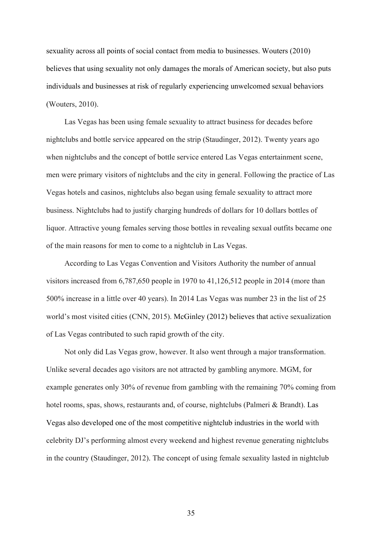sexuality across all points of social contact from media to businesses. Wouters (2010) believes that using sexuality not only damages the morals of American society, but also puts individuals and businesses at risk of regularly experiencing unwelcomed sexual behaviors (Wouters, 2010).

Las Vegas has been using female sexuality to attract business for decades before nightclubs and bottle service appeared on the strip (Staudinger, 2012). Twenty years ago when nightclubs and the concept of bottle service entered Las Vegas entertainment scene, men were primary visitors of nightclubs and the city in general. Following the practice of Las Vegas hotels and casinos, nightclubs also began using female sexuality to attract more business. Nightclubs had to justify charging hundreds of dollars for 10 dollars bottles of liquor. Attractive young females serving those bottles in revealing sexual outfits became one of the main reasons for men to come to a nightclub in Las Vegas.

According to Las Vegas Convention and Visitors Authority the number of annual visitors increased from 6,787,650 people in 1970 to 41,126,512 people in 2014 (more than 500% increase in a little over 40 years). In 2014 Las Vegas was number 23 in the list of 25 world's most visited cities (CNN, 2015). McGinley (2012) believes that active sexualization of Las Vegas contributed to such rapid growth of the city.

Not only did Las Vegas grow, however. It also went through a major transformation. Unlike several decades ago visitors are not attracted by gambling anymore. MGM, for example generates only 30% of revenue from gambling with the remaining 70% coming from hotel rooms, spas, shows, restaurants and, of course, nightclubs (Palmeri & Brandt). Las Vegas also developed one of the most competitive nightclub industries in the world with celebrity DJ's performing almost every weekend and highest revenue generating nightclubs in the country (Staudinger, 2012). The concept of using female sexuality lasted in nightclub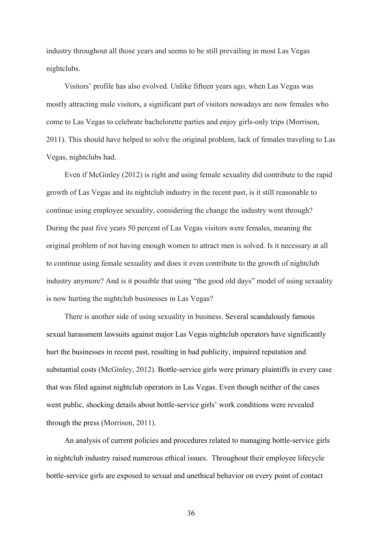industry throughout all those years and seems to be still prevailing in most Las Vegas nightclubs.

Visitors' profile has also evolved. Unlike fifteen years ago, when Las Vegas was mostly attracting male visitors, a significant part of visitors nowadays are now females who come to Las Vegas to celebrate bachelorette parties and enjoy girls-only trips (Morrison, 2011). This should have helped to solve the original problem, lack of females traveling to Las Vegas, nightclubs had.

Even if McGinley (2012) is right and using female sexuality did contribute to the rapid growth of Las Vegas and its nightclub industry in the recent past, is it still reasonable to continue using employee sexuality, considering the change the industry went through? During the past five years 50 percent of Las Vegas visitors were females, meaning the original problem of not having enough women to attract men is solved. Is it necessary at all to continue using female sexuality and does it even contribute to the growth of nightclub industry anymore? And is it possible that using "the good old days" model of using sexuality is now hurting the nightclub businesses in Las Vegas?

There is another side of using sexuality in business. Several scandalously famous sexual harassment lawsuits against major Las Vegas nightclub operators have significantly hurt the businesses in recent past, resulting in bad publicity, impaired reputation and substantial costs (McGinley, 2012). Bottle-service girls were primary plaintiffs in every case that was filed against nightclub operators in Las Vegas. Even though neither of the cases went public, shocking details about bottle-service girls' work conditions were revealed through the press (Morrison, 2011).

An analysis of current policies and procedures related to managing bottle-service girls in nightclub industry raised numerous ethical issues. Throughout their employee lifecycle bottle-service girls are exposed to sexual and unethical behavior on every point of contact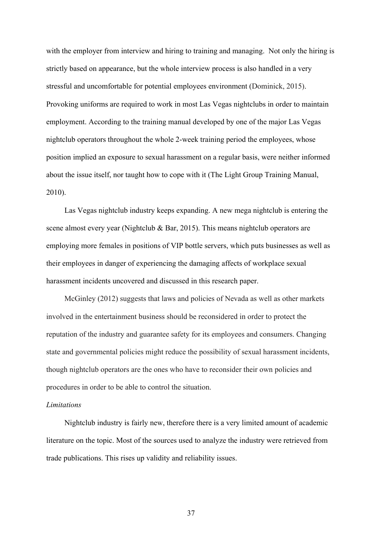with the employer from interview and hiring to training and managing. Not only the hiring is strictly based on appearance, but the whole interview process is also handled in a very stressful and uncomfortable for potential employees environment (Dominick, 2015). Provoking uniforms are required to work in most Las Vegas nightclubs in order to maintain employment. According to the training manual developed by one of the major Las Vegas nightclub operators throughout the whole 2-week training period the employees, whose position implied an exposure to sexual harassment on a regular basis, were neither informed about the issue itself, nor taught how to cope with it (The Light Group Training Manual, 2010).

Las Vegas nightclub industry keeps expanding. A new mega nightclub is entering the scene almost every year (Nightclub & Bar, 2015). This means nightclub operators are employing more females in positions of VIP bottle servers, which puts businesses as well as their employees in danger of experiencing the damaging affects of workplace sexual harassment incidents uncovered and discussed in this research paper.

McGinley (2012) suggests that laws and policies of Nevada as well as other markets involved in the entertainment business should be reconsidered in order to protect the reputation of the industry and guarantee safety for its employees and consumers. Changing state and governmental policies might reduce the possibility of sexual harassment incidents, though nightclub operators are the ones who have to reconsider their own policies and procedures in order to be able to control the situation.

## *Limitations*

Nightclub industry is fairly new, therefore there is a very limited amount of academic literature on the topic. Most of the sources used to analyze the industry were retrieved from trade publications. This rises up validity and reliability issues.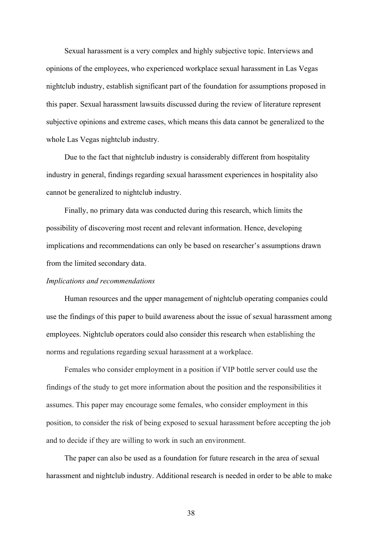Sexual harassment is a very complex and highly subjective topic. Interviews and opinions of the employees, who experienced workplace sexual harassment in Las Vegas nightclub industry, establish significant part of the foundation for assumptions proposed in this paper. Sexual harassment lawsuits discussed during the review of literature represent subjective opinions and extreme cases, which means this data cannot be generalized to the whole Las Vegas nightclub industry.

Due to the fact that nightclub industry is considerably different from hospitality industry in general, findings regarding sexual harassment experiences in hospitality also cannot be generalized to nightclub industry.

Finally, no primary data was conducted during this research, which limits the possibility of discovering most recent and relevant information. Hence, developing implications and recommendations can only be based on researcher's assumptions drawn from the limited secondary data.

#### *Implications and recommendations*

Human resources and the upper management of nightclub operating companies could use the findings of this paper to build awareness about the issue of sexual harassment among employees. Nightclub operators could also consider this research when establishing the norms and regulations regarding sexual harassment at a workplace.

Females who consider employment in a position if VIP bottle server could use the findings of the study to get more information about the position and the responsibilities it assumes. This paper may encourage some females, who consider employment in this position, to consider the risk of being exposed to sexual harassment before accepting the job and to decide if they are willing to work in such an environment.

The paper can also be used as a foundation for future research in the area of sexual harassment and nightclub industry. Additional research is needed in order to be able to make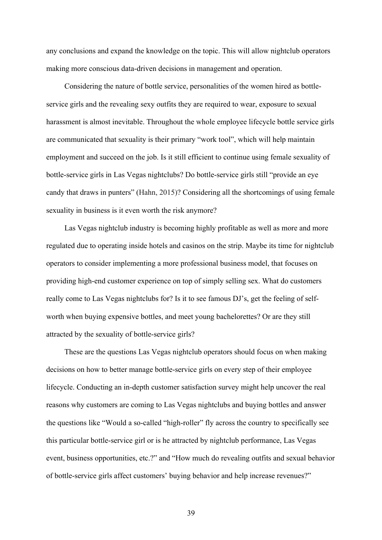any conclusions and expand the knowledge on the topic. This will allow nightclub operators making more conscious data-driven decisions in management and operation.

Considering the nature of bottle service, personalities of the women hired as bottleservice girls and the revealing sexy outfits they are required to wear, exposure to sexual harassment is almost inevitable. Throughout the whole employee lifecycle bottle service girls are communicated that sexuality is their primary "work tool", which will help maintain employment and succeed on the job. Is it still efficient to continue using female sexuality of bottle-service girls in Las Vegas nightclubs? Do bottle-service girls still "provide an eye candy that draws in punters" (Hahn, 2015)? Considering all the shortcomings of using female sexuality in business is it even worth the risk anymore?

Las Vegas nightclub industry is becoming highly profitable as well as more and more regulated due to operating inside hotels and casinos on the strip. Maybe its time for nightclub operators to consider implementing a more professional business model, that focuses on providing high-end customer experience on top of simply selling sex. What do customers really come to Las Vegas nightclubs for? Is it to see famous DJ's, get the feeling of selfworth when buying expensive bottles, and meet young bachelorettes? Or are they still attracted by the sexuality of bottle-service girls?

These are the questions Las Vegas nightclub operators should focus on when making decisions on how to better manage bottle-service girls on every step of their employee lifecycle. Conducting an in-depth customer satisfaction survey might help uncover the real reasons why customers are coming to Las Vegas nightclubs and buying bottles and answer the questions like "Would a so-called "high-roller" fly across the country to specifically see this particular bottle-service girl or is he attracted by nightclub performance, Las Vegas event, business opportunities, etc.?" and "How much do revealing outfits and sexual behavior of bottle-service girls affect customers' buying behavior and help increase revenues?"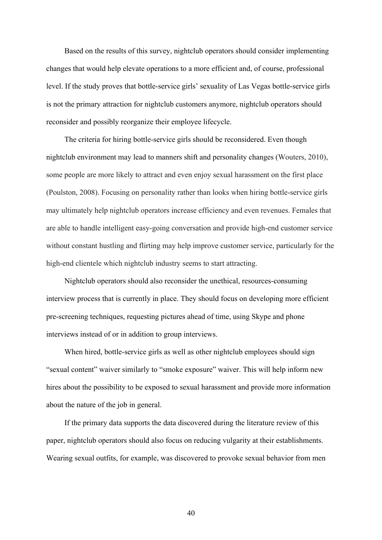Based on the results of this survey, nightclub operators should consider implementing changes that would help elevate operations to a more efficient and, of course, professional level. If the study proves that bottle-service girls' sexuality of Las Vegas bottle-service girls is not the primary attraction for nightclub customers anymore, nightclub operators should reconsider and possibly reorganize their employee lifecycle.

The criteria for hiring bottle-service girls should be reconsidered. Even though nightclub environment may lead to manners shift and personality changes (Wouters, 2010), some people are more likely to attract and even enjoy sexual harassment on the first place (Poulston, 2008). Focusing on personality rather than looks when hiring bottle-service girls may ultimately help nightclub operators increase efficiency and even revenues. Females that are able to handle intelligent easy-going conversation and provide high-end customer service without constant hustling and flirting may help improve customer service, particularly for the high-end clientele which nightclub industry seems to start attracting.

Nightclub operators should also reconsider the unethical, resources-consuming interview process that is currently in place. They should focus on developing more efficient pre-screening techniques, requesting pictures ahead of time, using Skype and phone interviews instead of or in addition to group interviews.

When hired, bottle-service girls as well as other nightclub employees should sign "sexual content" waiver similarly to "smoke exposure" waiver. This will help inform new hires about the possibility to be exposed to sexual harassment and provide more information about the nature of the job in general.

If the primary data supports the data discovered during the literature review of this paper, nightclub operators should also focus on reducing vulgarity at their establishments. Wearing sexual outfits, for example, was discovered to provoke sexual behavior from men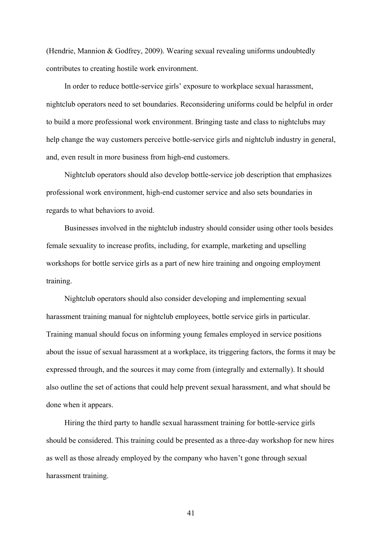(Hendrie, Mannion & Godfrey, 2009). Wearing sexual revealing uniforms undoubtedly contributes to creating hostile work environment.

In order to reduce bottle-service girls' exposure to workplace sexual harassment, nightclub operators need to set boundaries. Reconsidering uniforms could be helpful in order to build a more professional work environment. Bringing taste and class to nightclubs may help change the way customers perceive bottle-service girls and nightclub industry in general, and, even result in more business from high-end customers.

Nightclub operators should also develop bottle-service job description that emphasizes professional work environment, high-end customer service and also sets boundaries in regards to what behaviors to avoid.

Businesses involved in the nightclub industry should consider using other tools besides female sexuality to increase profits, including, for example, marketing and upselling workshops for bottle service girls as a part of new hire training and ongoing employment training.

Nightclub operators should also consider developing and implementing sexual harassment training manual for nightclub employees, bottle service girls in particular. Training manual should focus on informing young females employed in service positions about the issue of sexual harassment at a workplace, its triggering factors, the forms it may be expressed through, and the sources it may come from (integrally and externally). It should also outline the set of actions that could help prevent sexual harassment, and what should be done when it appears.

Hiring the third party to handle sexual harassment training for bottle-service girls should be considered. This training could be presented as a three-day workshop for new hires as well as those already employed by the company who haven't gone through sexual harassment training.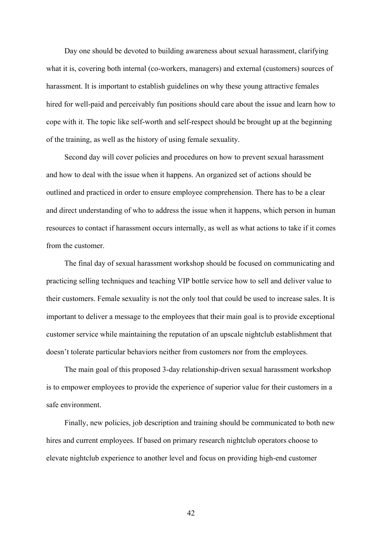Day one should be devoted to building awareness about sexual harassment, clarifying what it is, covering both internal (co-workers, managers) and external (customers) sources of harassment. It is important to establish guidelines on why these young attractive females hired for well-paid and perceivably fun positions should care about the issue and learn how to cope with it. The topic like self-worth and self-respect should be brought up at the beginning of the training, as well as the history of using female sexuality.

Second day will cover policies and procedures on how to prevent sexual harassment and how to deal with the issue when it happens. An organized set of actions should be outlined and practiced in order to ensure employee comprehension. There has to be a clear and direct understanding of who to address the issue when it happens, which person in human resources to contact if harassment occurs internally, as well as what actions to take if it comes from the customer.

The final day of sexual harassment workshop should be focused on communicating and practicing selling techniques and teaching VIP bottle service how to sell and deliver value to their customers. Female sexuality is not the only tool that could be used to increase sales. It is important to deliver a message to the employees that their main goal is to provide exceptional customer service while maintaining the reputation of an upscale nightclub establishment that doesn't tolerate particular behaviors neither from customers nor from the employees.

The main goal of this proposed 3-day relationship-driven sexual harassment workshop is to empower employees to provide the experience of superior value for their customers in a safe environment.

Finally, new policies, job description and training should be communicated to both new hires and current employees. If based on primary research nightclub operators choose to elevate nightclub experience to another level and focus on providing high-end customer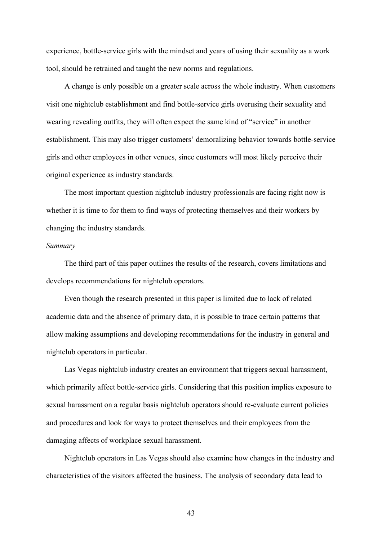experience, bottle-service girls with the mindset and years of using their sexuality as a work tool, should be retrained and taught the new norms and regulations.

A change is only possible on a greater scale across the whole industry. When customers visit one nightclub establishment and find bottle-service girls overusing their sexuality and wearing revealing outfits, they will often expect the same kind of "service" in another establishment. This may also trigger customers' demoralizing behavior towards bottle-service girls and other employees in other venues, since customers will most likely perceive their original experience as industry standards.

The most important question nightclub industry professionals are facing right now is whether it is time to for them to find ways of protecting themselves and their workers by changing the industry standards.

### *Summary*

The third part of this paper outlines the results of the research, covers limitations and develops recommendations for nightclub operators.

Even though the research presented in this paper is limited due to lack of related academic data and the absence of primary data, it is possible to trace certain patterns that allow making assumptions and developing recommendations for the industry in general and nightclub operators in particular.

Las Vegas nightclub industry creates an environment that triggers sexual harassment, which primarily affect bottle-service girls. Considering that this position implies exposure to sexual harassment on a regular basis nightclub operators should re-evaluate current policies and procedures and look for ways to protect themselves and their employees from the damaging affects of workplace sexual harassment.

Nightclub operators in Las Vegas should also examine how changes in the industry and characteristics of the visitors affected the business. The analysis of secondary data lead to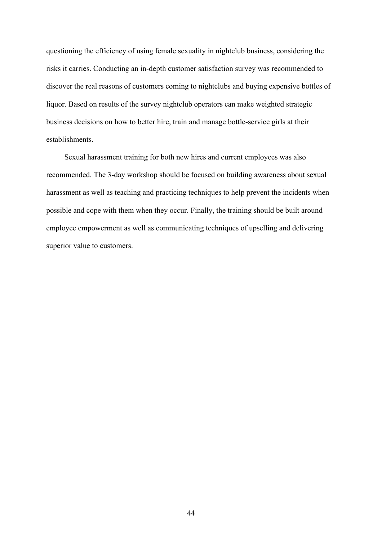questioning the efficiency of using female sexuality in nightclub business, considering the risks it carries. Conducting an in-depth customer satisfaction survey was recommended to discover the real reasons of customers coming to nightclubs and buying expensive bottles of liquor. Based on results of the survey nightclub operators can make weighted strategic business decisions on how to better hire, train and manage bottle-service girls at their establishments.

Sexual harassment training for both new hires and current employees was also recommended. The 3-day workshop should be focused on building awareness about sexual harassment as well as teaching and practicing techniques to help prevent the incidents when possible and cope with them when they occur. Finally, the training should be built around employee empowerment as well as communicating techniques of upselling and delivering superior value to customers.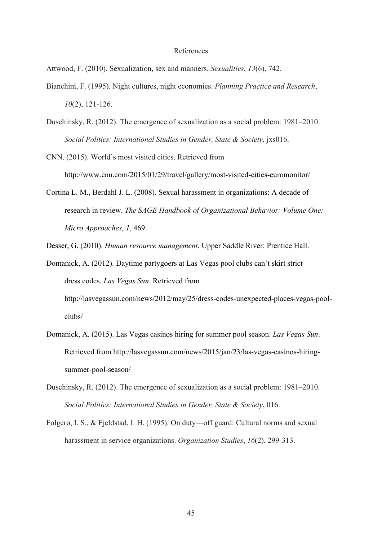#### References

Attwood, F. (2010). Sexualization, sex and manners. *Sexualities*, *13*(6), 742.

- Bianchini, F. (1995). Night cultures, night economies. *Planning Practice and Research*, *10*(2), 121-126.
- Duschinsky, R. (2012). The emergence of sexualization as a social problem: 1981–2010. *Social Politics: International Studies in Gender, State & Society*, jxs016.
- CNN. (2015). World's most visited cities. Retrieved from http://www.cnn.com/2015/01/29/travel/gallery/most-visited-cities-euromonitor/
- Cortina L. M., Berdahl J. L. (2008). Sexual harassment in organizations: A decade of research in review. *The SAGE Handbook of Organizational Behavior: Volume One: Micro Approaches*, *1*, 469.

Desser, G. (2010). *Human resource management*. Upper Saddle River: Prentice Hall.

- Domanick, A. (2012). Daytime partygoers at Las Vegas pool clubs can't skirt strict dress codes. *Las Vegas Sun*. Retrieved from http://lasvegassun.com/news/2012/may/25/dress-codes-unexpected-places-vegas-poolclubs/
- Domanick, A. (2015). Las Vegas casinos hiring for summer pool season. *Las Vegas Sun*. Retrieved from http://lasvegassun.com/news/2015/jan/23/las-vegas-casinos-hiringsummer-pool-season/
- Duschinsky, R. (2012). The emergence of sexualization as a social problem: 1981–2010. *Social Politics: International Studies in Gender, State & Society*, 016.
- Folgerø, I. S., & Fjeldstad, I. H. (1995). On duty—off guard: Cultural norms and sexual harassment in service organizations. *Organization Studies*, *16*(2), 299-313.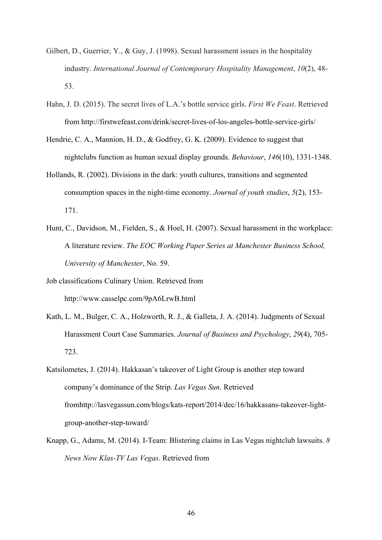- Gilbert, D., Guerrier, Y., & Guy, J. (1998). Sexual harassment issues in the hospitality industry. *International Journal of Contemporary Hospitality Management*, *10*(2), 48- 53.
- Hahn, J. D. (2015). The secret lives of L.A.'s bottle service girls. *First We Feast*. Retrieved from http://firstwefeast.com/drink/secret-lives-of-los-angeles-bottle-service-girls/
- Hendrie, C. A., Mannion, H. D., & Godfrey, G. K. (2009). Evidence to suggest that nightclubs function as human sexual display grounds. *Behaviour*, *146*(10), 1331-1348.
- Hollands, R. (2002). Divisions in the dark: youth cultures, transitions and segmented consumption spaces in the night-time economy. *Journal of youth studies*, *5*(2), 153- 171.
- Hunt, C., Davidson, M., Fielden, S., & Hoel, H. (2007). Sexual harassment in the workplace: A literature review. *The EOC Working Paper Series at Manchester Business School, University of Manchester*, No. 59.
- Job classifications Culinary Union. Retrieved from http://www.casselpc.com/9pA6LrwB.html
- Kath, L. M., Bulger, C. A., Holzworth, R. J., & Galleta, J. A. (2014). Judgments of Sexual Harassment Court Case Summaries. *Journal of Business and Psychology*, *29*(4), 705- 723.
- Katsilometes, J. (2014). Hakkasan's takeover of Light Group is another step toward company's dominance of the Strip. *Las Vegas Sun*. Retrieved fromhttp://lasvegassun.com/blogs/kats-report/2014/dec/16/hakkasans-takeover-lightgroup-another-step-toward/
- Knapp, G., Adams, M. (2014). I-Team: Blistering claims in Las Vegas nightclub lawsuits. *8 News Now Klas-TV Las Vegas*. Retrieved from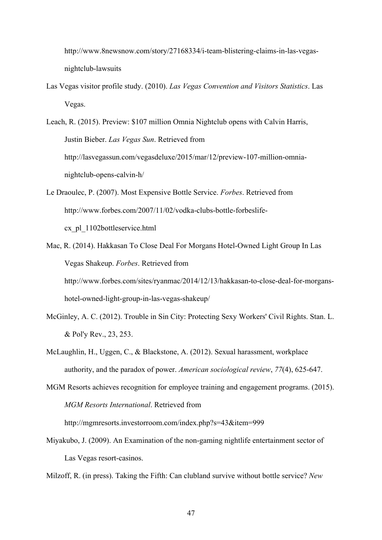http://www.8newsnow.com/story/27168334/i-team-blistering-claims-in-las-vegasnightclub-lawsuits

Las Vegas visitor profile study. (2010). *Las Vegas Convention and Visitors Statistics*. Las Vegas.

Leach, R. (2015). Preview: \$107 million Omnia Nightclub opens with Calvin Harris, Justin Bieber. *Las Vegas Sun*. Retrieved from http://lasvegassun.com/vegasdeluxe/2015/mar/12/preview-107-million-omnianightclub-opens-calvin-h/

- Le Draoulec, P. (2007). Most Expensive Bottle Service. *Forbes*. Retrieved from http://www.forbes.com/2007/11/02/vodka-clubs-bottle-forbeslifecx\_pl\_1102bottleservice.html
- Mac, R. (2014). Hakkasan To Close Deal For Morgans Hotel-Owned Light Group In Las Vegas Shakeup. *Forbes*. Retrieved from http://www.forbes.com/sites/ryanmac/2014/12/13/hakkasan-to-close-deal-for-morganshotel-owned-light-group-in-las-vegas-shakeup/
- McGinley, A. C. (2012). Trouble in Sin City: Protecting Sexy Workers' Civil Rights. Stan. L. & Pol'y Rev., 23, 253.
- McLaughlin, H., Uggen, C., & Blackstone, A. (2012). Sexual harassment, workplace authority, and the paradox of power. *American sociological review*, *77*(4), 625-647.
- MGM Resorts achieves recognition for employee training and engagement programs. (2015). *MGM Resorts International*. Retrieved from

http://mgmresorts.investorroom.com/index.php?s=43&item=999

Miyakubo, J. (2009). An Examination of the non-gaming nightlife entertainment sector of Las Vegas resort-casinos.

Milzoff, R. (in press). Taking the Fifth: Can clubland survive without bottle service? *New*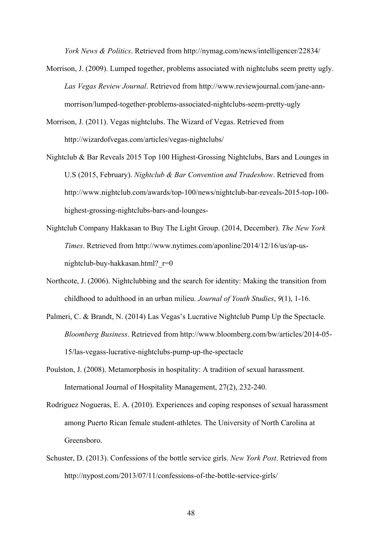*York News & Politics*. Retrieved from http://nymag.com/news/intelligencer/22834/

- Morrison, J. (2009). Lumped together, problems associated with nightclubs seem pretty ugly. *Las Vegas Review Journal*. Retrieved from http://www.reviewjournal.com/jane-annmorrison/lumped-together-problems-associated-nightclubs-seem-pretty-ugly
- Morrison, J. (2011). Vegas nightclubs. The Wizard of Vegas. Retrieved from http://wizardofvegas.com/articles/vegas-nightclubs/
- Nightclub & Bar Reveals 2015 Top 100 Highest-Grossing Nightclubs, Bars and Lounges in U.S (2015, February). *Nightclub & Bar Convention and Tradeshow*. Retrieved from http://www.nightclub.com/awards/top-100/news/nightclub-bar-reveals-2015-top-100 highest-grossing-nightclubs-bars-and-lounges-
- Nightclub Company Hakkasan to Buy The Light Group. (2014, December). *The New York Times*. Retrieved from http://www.nytimes.com/aponline/2014/12/16/us/ap-usnightclub-buy-hakkasan.html?\_r=0
- Northcote, J. (2006). Nightclubbing and the search for identity: Making the transition from childhood to adulthood in an urban milieu. *Journal of Youth Studies*, *9*(1), 1-16.
- Palmeri, C. & Brandt, N. (2014) Las Vegas's Lucrative Nightclub Pump Up the Spectacle. *Bloomberg Business*. Retrieved from http://www.bloomberg.com/bw/articles/2014-05- 15/las-vegass-lucrative-nightclubs-pump-up-the-spectacle
- Poulston, J. (2008). Metamorphosis in hospitality: A tradition of sexual harassment. International Journal of Hospitality Management, 27(2), 232-240.
- Rodriguez Nogueras, E. A. (2010). Experiences and coping responses of sexual harassment among Puerto Rican female student-athletes. The University of North Carolina at Greensboro.
- Schuster, D. (2013). Confessions of the bottle service girls. *New York Post*. Retrieved from http://nypost.com/2013/07/11/confessions-of-the-bottle-service-girls/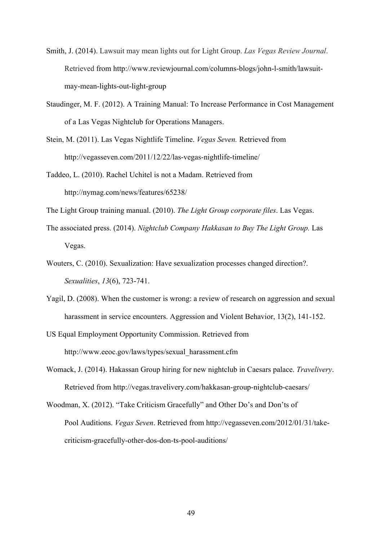- Smith, J. (2014). Lawsuit may mean lights out for Light Group. *Las Vegas Review Journal*. Retrieved from http://www.reviewjournal.com/columns-blogs/john-l-smith/lawsuitmay-mean-lights-out-light-group
- Staudinger, M. F. (2012). A Training Manual: To Increase Performance in Cost Management of a Las Vegas Nightclub for Operations Managers.
- Stein, M. (2011). Las Vegas Nightlife Timeline. *Vegas Seven.* Retrieved from http://vegasseven.com/2011/12/22/las-vegas-nightlife-timeline/
- Taddeo, L. (2010). Rachel Uchitel is not a Madam. Retrieved from http://nymag.com/news/features/65238/
- The Light Group training manual. (2010). *The Light Group corporate files*. Las Vegas.
- The associated press. (2014). *Nightclub Company Hakkasan to Buy The Light Group.* Las Vegas.
- Wouters, C. (2010). Sexualization: Have sexualization processes changed direction?. *Sexualities*, *13*(6), 723-741.
- Yagil, D. (2008). When the customer is wrong: a review of research on aggression and sexual harassment in service encounters. Aggression and Violent Behavior, 13(2), 141-152.
- US Equal Employment Opportunity Commission. Retrieved from http://www.eeoc.gov/laws/types/sexual\_harassment.cfm
- Womack, J. (2014). Hakassan Group hiring for new nightclub in Caesars palace. *Travelivery*. Retrieved from http://vegas.travelivery.com/hakkasan-group-nightclub-caesars/
- Woodman, X. (2012). "Take Criticism Gracefully" and Other Do's and Don'ts of Pool Auditions. *Vegas Seven*. Retrieved from http://vegasseven.com/2012/01/31/takecriticism-gracefully-other-dos-don-ts-pool-auditions/